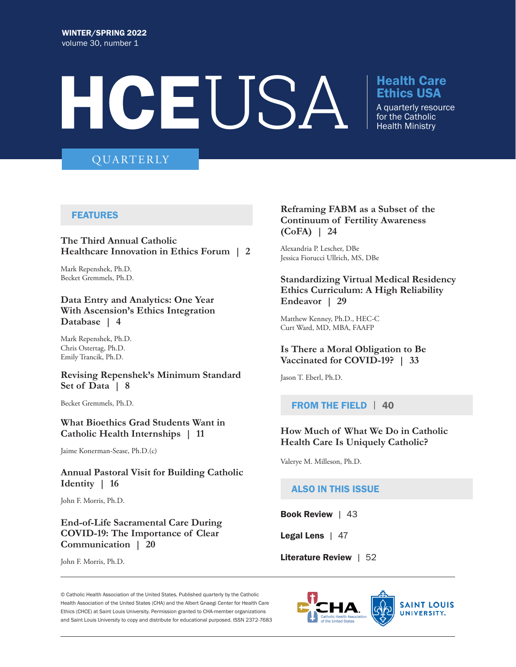# For the Catholic USA Health Ministry<br>For the Catholic Health Ministry

# Health Care Ethics USA

A quarterly resource<br>for the Catholic

# QUARTERLY

### FEATURES

**The Third Annual Catholic Healthcare Innovation in Ethics Forum | 2**

Mark Repenshek, Ph.D. Becket Gremmels, Ph.D.

**Data Entry and Analytics: One Year With Ascension's Ethics Integration Database | 4**

Mark Repenshek, Ph.D. Chris Ostertag, Ph.D. Emily Trancik, Ph.D.

**Revising Repenshek's Minimum Standard Set of Data | 8**

Becket Gremmels, Ph.D.

**What Bioethics Grad Students Want in Catholic Health Internships | 11**

Jaime Konerman-Sease, Ph.D.(c)

**Annual Pastoral Visit for Building Catholic Identity | 16**

John F. Morris, Ph.D.

### **End-of-Life Sacramental Care During COVID-19: The Importance of Clear Communication | 20**

John F. Morris, Ph.D.

**Reframing FABM as a Subset of the Continuum of Fertility Awareness (CoFA) | 24**

Alexandria P. Lescher, DBe Jessica Fiorucci Ullrich, MS, DBe

**Standardizing Virtual Medical Residency Ethics Curriculum: A High Reliability Endeavor | 29**

Matthew Kenney, Ph.D., HEC-C Curt Ward, MD, MBA, FAAFP

### **Is There a Moral Obligation to Be Vaccinated for COVID-19? | 33**

Jason T. Eberl, Ph.D.

# FROM THE FIELD | 40

**How Much of What We Do in Catholic Health Care Is Uniquely Catholic?**

Valerye M. Milleson, Ph.D.

# ALSO IN THIS ISSUE

Book Review | 43

Legal Lens | 47

Literature Review | 52

© Catholic Health Association of the United States. Published quarterly by the Catholic Health Association of the United States (CHA) and the Albert Gnaegi Center for Health Care Ethics (CHCE) at Saint Louis University. Permission granted to CHA-member organizations and Saint Louis University to copy and distribute for educational purposed. ISSN 2372-7683

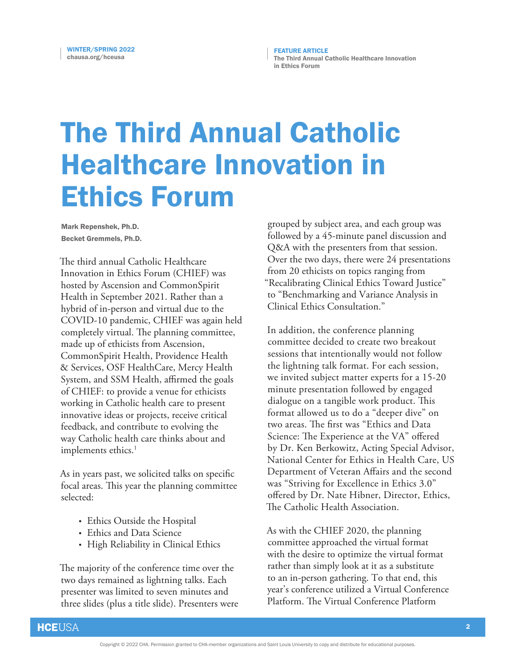**FEATURE ARTICLE** The Third Annual Catholic Healthcare Innovation in Ethics Forum

# The Third Annual Catholic Healthcare Innovation in Ethics Forum

Mark Repenshek, Ph.D. Becket Gremmels, Ph.D.

The third annual Catholic Healthcare Innovation in Ethics Forum (CHIEF) was hosted by Ascension and CommonSpirit Health in September 2021. Rather than a hybrid of in-person and virtual due to the COVID-10 pandemic, CHIEF was again held completely virtual. The planning committee, made up of ethicists from Ascension, CommonSpirit Health, Providence Health & Services, OSF HealthCare, Mercy Health System, and SSM Health, affirmed the goals of CHIEF: to provide a venue for ethicists working in Catholic health care to present innovative ideas or projects, receive critical feedback, and contribute to evolving the way Catholic health care thinks about and implements ethics.<sup>1</sup>

As in years past, we solicited talks on specific focal areas. This year the planning committee selected:

- Ethics Outside the Hospital
- Ethics and Data Science
- High Reliability in Clinical Ethics

The majority of the conference time over the two days remained as lightning talks. Each presenter was limited to seven minutes and three slides (plus a title slide). Presenters were

grouped by subject area, and each group was followed by a 45-minute panel discussion and Q&A with the presenters from that session. Over the two days, there were 24 presentations from 20 ethicists on topics ranging from "Recalibrating Clinical Ethics Toward Justice" to "Benchmarking and Variance Analysis in Clinical Ethics Consultation."

In addition, the conference planning committee decided to create two breakout sessions that intentionally would not follow the lightning talk format. For each session, we invited subject matter experts for a 15-20 minute presentation followed by engaged dialogue on a tangible work product. This format allowed us to do a "deeper dive" on two areas. The first was "Ethics and Data Science: The Experience at the VA" offered by Dr. Ken Berkowitz, Acting Special Advisor, National Center for Ethics in Health Care, US Department of Veteran Affairs and the second was "Striving for Excellence in Ethics 3.0" offered by Dr. Nate Hibner, Director, Ethics, The Catholic Health Association.

As with the CHIEF 2020, the planning committee approached the virtual format with the desire to optimize the virtual format rather than simply look at it as a substitute to an in-person gathering. To that end, this year's conference utilized a Virtual Conference Platform. The Virtual Conference Platform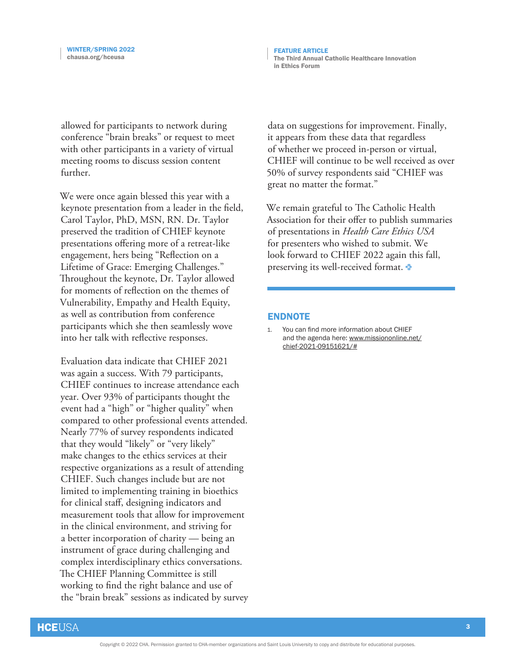allowed for participants to network during conference "brain breaks" or request to meet with other participants in a variety of virtual meeting rooms to discuss session content further.

We were once again blessed this year with a keynote presentation from a leader in the field, Carol Taylor, PhD, MSN, RN. Dr. Taylor preserved the tradition of CHIEF keynote presentations offering more of a retreat-like engagement, hers being "Reflection on a Lifetime of Grace: Emerging Challenges." Throughout the keynote, Dr. Taylor allowed for moments of reflection on the themes of Vulnerability, Empathy and Health Equity, as well as contribution from conference participants which she then seamlessly wove into her talk with reflective responses.

Evaluation data indicate that CHIEF 2021 was again a success. With 79 participants, CHIEF continues to increase attendance each year. Over 93% of participants thought the event had a "high" or "higher quality" when compared to other professional events attended. Nearly 77% of survey respondents indicated that they would "likely" or "very likely" make changes to the ethics services at their respective organizations as a result of attending CHIEF. Such changes include but are not limited to implementing training in bioethics for clinical staff, designing indicators and measurement tools that allow for improvement in the clinical environment, and striving for a better incorporation of charity — being an instrument of grace during challenging and complex interdisciplinary ethics conversations. The CHIEF Planning Committee is still working to find the right balance and use of the "brain break" sessions as indicated by survey FEATURE ARTICLE The Third Annual Catholic Healthcare Innovation in Ethics Forum

data on suggestions for improvement. Finally, it appears from these data that regardless of whether we proceed in-person or virtual, CHIEF will continue to be well received as over 50% of survey respondents said "CHIEF was great no matter the format."

We remain grateful to The Catholic Health Association for their offer to publish summaries of presentations in *Health Care Ethics USA* for presenters who wished to submit. We look forward to CHIEF 2022 again this fall, preserving its well-received format.

#### ENDNOTE

You can find more information about CHIEF and the agenda here: www.missiononline.net/ chief-2021-09151621/#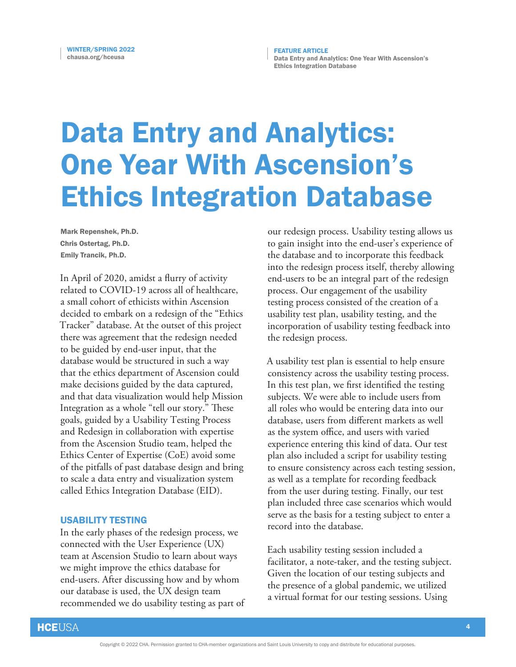#### WINTER/SPRING 2022 chausa.org/hceusa

FEATURE ARTICLE Data Entry and Analytics: One Year With Ascension's Ethics Integration Database

# Data Entry and Analytics: One Year With Ascension's Ethics Integration Database

Mark Repenshek, Ph.D. Chris Ostertag, Ph.D. Emily Trancik, Ph.D.

In April of 2020, amidst a flurry of activity related to COVID-19 across all of healthcare, a small cohort of ethicists within Ascension decided to embark on a redesign of the "Ethics Tracker" database. At the outset of this project there was agreement that the redesign needed to be guided by end-user input, that the database would be structured in such a way that the ethics department of Ascension could make decisions guided by the data captured, and that data visualization would help Mission Integration as a whole "tell our story." These goals, guided by a Usability Testing Process and Redesign in collaboration with expertise from the Ascension Studio team, helped the Ethics Center of Expertise (CoE) avoid some of the pitfalls of past database design and bring to scale a data entry and visualization system called Ethics Integration Database (EID).

#### USABILITY TESTING

In the early phases of the redesign process, we connected with the User Experience (UX) team at Ascension Studio to learn about ways we might improve the ethics database for end-users. After discussing how and by whom our database is used, the UX design team recommended we do usability testing as part of our redesign process. Usability testing allows us to gain insight into the end-user's experience of the database and to incorporate this feedback into the redesign process itself, thereby allowing end-users to be an integral part of the redesign process. Our engagement of the usability testing process consisted of the creation of a usability test plan, usability testing, and the incorporation of usability testing feedback into the redesign process.

A usability test plan is essential to help ensure consistency across the usability testing process. In this test plan, we first identified the testing subjects. We were able to include users from all roles who would be entering data into our database, users from different markets as well as the system office, and users with varied experience entering this kind of data. Our test plan also included a script for usability testing to ensure consistency across each testing session, as well as a template for recording feedback from the user during testing. Finally, our test plan included three case scenarios which would serve as the basis for a testing subject to enter a record into the database.

Each usability testing session included a facilitator, a note-taker, and the testing subject. Given the location of our testing subjects and the presence of a global pandemic, we utilized a virtual format for our testing sessions. Using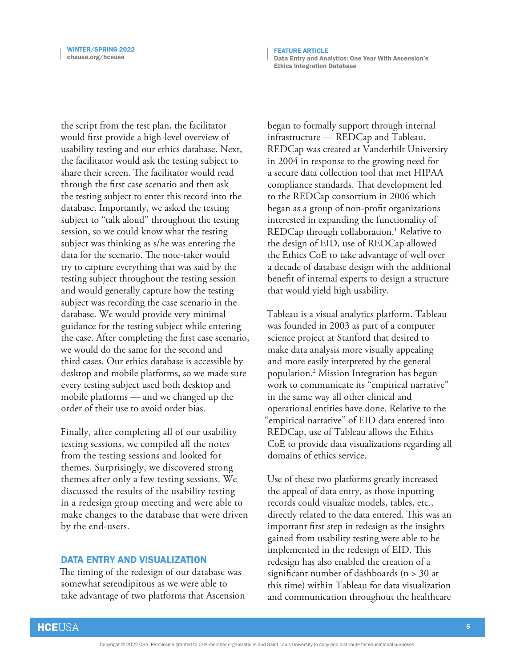the script from the test plan, the facilitator would first provide a high-level overview of usability testing and our ethics database. Next, the facilitator would ask the testing subject to share their screen. The facilitator would read through the first case scenario and then ask the testing subject to enter this record into the database. Importantly, we asked the testing subject to "talk aloud" throughout the testing session, so we could know what the testing subject was thinking as s/he was entering the data for the scenario. The note-taker would try to capture everything that was said by the testing subject throughout the testing session and would generally capture how the testing subject was recording the case scenario in the database. We would provide very minimal guidance for the testing subject while entering the case. After completing the first case scenario, we would do the same for the second and third cases. Our ethics database is accessible by desktop and mobile platforms, so we made sure every testing subject used both desktop and mobile platforms — and we changed up the order of their use to avoid order bias.

Finally, after completing all of our usability testing sessions, we compiled all the notes from the testing sessions and looked for themes. Surprisingly, we discovered strong themes after only a few testing sessions. We discussed the results of the usability testing in a redesign group meeting and were able to make changes to the database that were driven by the end-users.

#### DATA ENTRY AND VISUALIZATION

The timing of the redesign of our database was somewhat serendipitous as we were able to take advantage of two platforms that Ascension FEATURE ARTICLE Data Entry and Analytics: One Year With Ascension's Ethics Integration Database

began to formally support through internal infrastructure — REDCap and Tableau. REDCap was created at Vanderbilt University in 2004 in response to the growing need for a secure data collection tool that met HIPAA compliance standards. That development led to the REDCap consortium in 2006 which began as a group of non-profit organizations interested in expanding the functionality of REDCap through collaboration.<sup>1</sup> Relative to the design of EID, use of REDCap allowed the Ethics CoE to take advantage of well over a decade of database design with the additional benefit of internal experts to design a structure that would yield high usability.

Tableau is a visual analytics platform. Tableau was founded in 2003 as part of a computer science project at Stanford that desired to make data analysis more visually appealing and more easily interpreted by the general population.2 Mission Integration has begun work to communicate its "empirical narrative" in the same way all other clinical and operational entities have done. Relative to the "empirical narrative" of EID data entered into REDCap, use of Tableau allows the Ethics CoE to provide data visualizations regarding all domains of ethics service.

Use of these two platforms greatly increased the appeal of data entry, as those inputting records could visualize models, tables, etc., directly related to the data entered. This was an important first step in redesign as the insights gained from usability testing were able to be implemented in the redesign of EID. This redesign has also enabled the creation of a significant number of dashboards (n > 30 at this time) within Tableau for data visualization and communication throughout the healthcare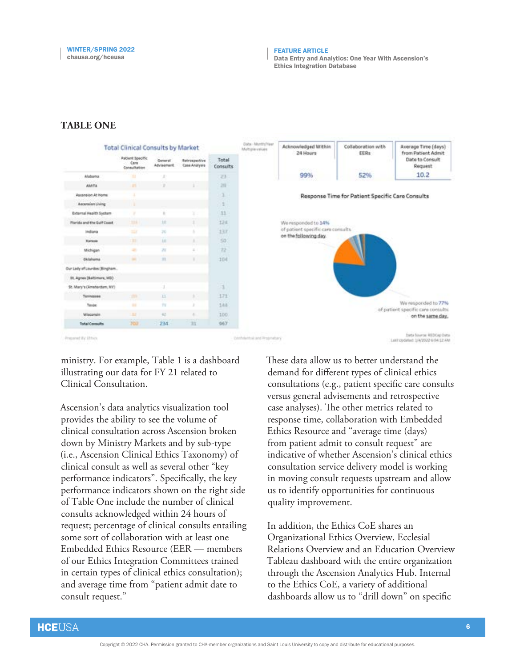FEATURE ARTICLE

Data Entry and Analytics: One Year With Ascension's Ethics Integration Database

### **TABLE ONE**

|                                | <b>Patient Specific</b><br>Cars<br>Consultation | General<br>Advisement | Retrospective<br>Carse Amplysis | Total<br>Consults <sup>:</sup> |
|--------------------------------|-------------------------------------------------|-----------------------|---------------------------------|--------------------------------|
| Alabama                        | 囹                                               | -21                   |                                 | - 23                           |
| <b>ARREA</b>                   | m                                               | ٠r                    | 17                              | 29                             |
| Ascension Att Home             |                                                 |                       |                                 | 2.1                            |
| <b>Ascension Living</b>        | ٠                                               |                       |                                 | 1                              |
| External Health System         | ı                                               | ۱                     |                                 | 11                             |
| Florida and the Sulf Coast.    | m                                               | 丗                     | ż                               | 126                            |
| Indiana                        | тaг                                             | 抽                     |                                 | 137                            |
| Kansas                         | n                                               | 迨                     | ٠                               | 50                             |
| Michigan                       | ٠                                               | 20                    | ż                               | 72                             |
| Dictahusma                     |                                                 | m                     | ٠                               | 104                            |
| Our Lady of Lourdon (Bingham.) |                                                 |                       |                                 |                                |
| St. Agnes (Baltimore, MD)      |                                                 |                       |                                 |                                |
| St. Mary's (Amsterdam, NY)     |                                                 |                       |                                 | 15                             |
| Tennessee                      | m                                               | 'n                    | ٠                               | 171                            |
| Texas                          | н                                               | h                     |                                 | 148                            |
| Wisconsin                      | $\mathbb{R}$                                    | 42                    | a.                              | 100                            |
| <b>Total Consults</b>          | 70J                                             | 234                   | Ħ                               | 967                            |

ministry. For example, Table 1 is a dashboard illustrating our data for FY 21 related to Clinical Consultation.

Ascension's data analytics visualization tool provides the ability to see the volume of clinical consultation across Ascension broken down by Ministry Markets and by sub-type (i.e., Ascension Clinical Ethics Taxonomy) of clinical consult as well as several other "key performance indicators". Specifically, the key performance indicators shown on the right side of Table One include the number of clinical consults acknowledged within 24 hours of request; percentage of clinical consults entailing some sort of collaboration with at least one Embedded Ethics Resource (EER — members of our Ethics Integration Committees trained in certain types of clinical ethics consultation); and average time from "patient admit date to consult request."



Response Time for Patient Specific Care Consults



These data allow us to better understand the demand for different types of clinical ethics consultations (e.g., patient specific care consults versus general advisements and retrospective case analyses). The other metrics related to response time, collaboration with Embedded Ethics Resource and "average time (days) from patient admit to consult request" are indicative of whether Ascension's clinical ethics consultation service delivery model is working in moving consult requests upstream and allow us to identify opportunities for continuous quality improvement.

In addition, the Ethics CoE shares an Organizational Ethics Overview, Ecclesial Relations Overview and an Education Overview Tableau dashboard with the entire organization through the Ascension Analytics Hub. Internal to the Ethics CoE, a variety of additional dashboards allow us to "drill down" on specific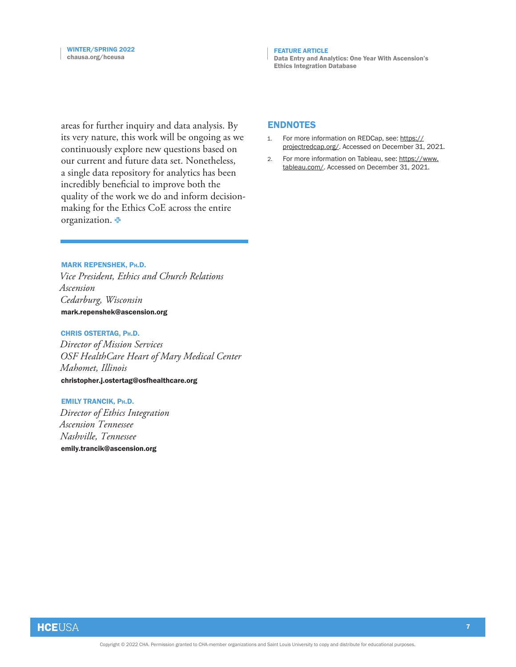#### FEATURE ARTICLE

Data Entry and Analytics: One Year With Ascension's Ethics Integration Database

areas for further inquiry and data analysis. By its very nature, this work will be ongoing as we continuously explore new questions based on our current and future data set. Nonetheless, a single data repository for analytics has been incredibly beneficial to improve both the quality of the work we do and inform decisionmaking for the Ethics CoE across the entire organization.

#### ENDNOTES

- 1. For more information on REDCap, see: https:// projectredcap.org/. Accessed on December 31, 2021.
- 2. For more information on Tableau, see: https://www. tableau.com/. Accessed on December 31, 2021.

#### MARK REPENSHEK, Ph.D.

*Vice President, Ethics and Church Relations Ascension Cedarburg, Wisconsin*  mark.repenshek@ascension.org

#### CHRIS OSTERTAG, Ph.D.

*Director of Mission Services OSF HealthCare Heart of Mary Medical Center Mahomet, Illinois* christopher.j.ostertag@osfhealthcare.org

#### EMILY TRANCIK, Ph.D.

*Director of Ethics Integration Ascension Tennessee Nashville, Tennessee*  emily.trancik@ascension.org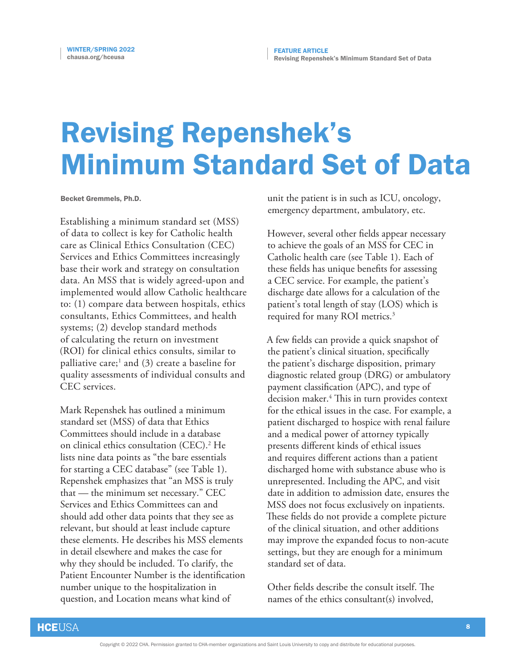# Revising Repenshek's Minimum Standard Set of Data

Becket Gremmels, Ph.D.

Establishing a minimum standard set (MSS) of data to collect is key for Catholic health care as Clinical Ethics Consultation (CEC) Services and Ethics Committees increasingly base their work and strategy on consultation data. An MSS that is widely agreed-upon and implemented would allow Catholic healthcare to: (1) compare data between hospitals, ethics consultants, Ethics Committees, and health systems; (2) develop standard methods of calculating the return on investment (ROI) for clinical ethics consults, similar to palliative care;<sup>1</sup> and (3) create a baseline for quality assessments of individual consults and CEC services.

Mark Repenshek has outlined a minimum standard set (MSS) of data that Ethics Committees should include in a database on clinical ethics consultation (CEC).2 He lists nine data points as "the bare essentials for starting a CEC database" (see Table 1). Repenshek emphasizes that "an MSS is truly that — the minimum set necessary." CEC Services and Ethics Committees can and should add other data points that they see as relevant, but should at least include capture these elements. He describes his MSS elements in detail elsewhere and makes the case for why they should be included. To clarify, the Patient Encounter Number is the identification number unique to the hospitalization in question, and Location means what kind of

unit the patient is in such as ICU, oncology, emergency department, ambulatory, etc.

However, several other fields appear necessary to achieve the goals of an MSS for CEC in Catholic health care (see Table 1). Each of these fields has unique benefits for assessing a CEC service. For example, the patient's discharge date allows for a calculation of the patient's total length of stay (LOS) which is required for many ROI metrics.3

A few fields can provide a quick snapshot of the patient's clinical situation, specifically the patient's discharge disposition, primary diagnostic related group (DRG) or ambulatory payment classification (APC), and type of decision maker.4 This in turn provides context for the ethical issues in the case. For example, a patient discharged to hospice with renal failure and a medical power of attorney typically presents different kinds of ethical issues and requires different actions than a patient discharged home with substance abuse who is unrepresented. Including the APC, and visit date in addition to admission date, ensures the MSS does not focus exclusively on inpatients. These fields do not provide a complete picture of the clinical situation, and other additions may improve the expanded focus to non-acute settings, but they are enough for a minimum standard set of data.

Other fields describe the consult itself. The names of the ethics consultant(s) involved,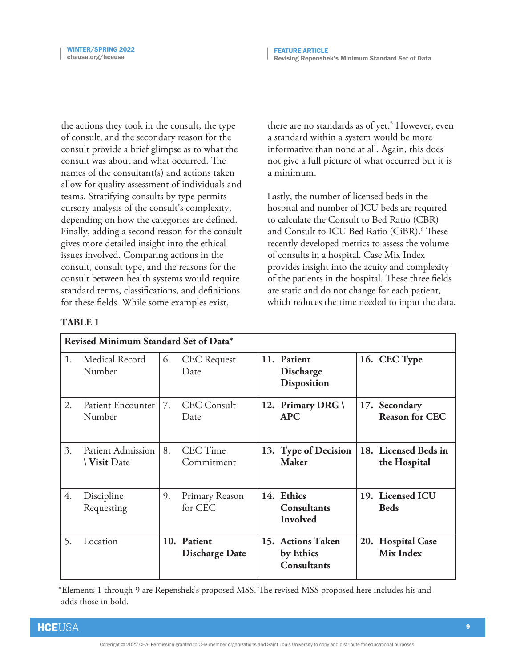the actions they took in the consult, the type of consult, and the secondary reason for the consult provide a brief glimpse as to what the consult was about and what occurred. The names of the consultant(s) and actions taken allow for quality assessment of individuals and teams. Stratifying consults by type permits cursory analysis of the consult's complexity, depending on how the categories are defined. Finally, adding a second reason for the consult gives more detailed insight into the ethical issues involved. Comparing actions in the consult, consult type, and the reasons for the consult between health systems would require standard terms, classifications, and definitions for these fields. While some examples exist,

there are no standards as of yet.<sup>5</sup> However, even a standard within a system would be more informative than none at all. Again, this does not give a full picture of what occurred but it is a minimum.

Lastly, the number of licensed beds in the hospital and number of ICU beds are required to calculate the Consult to Bed Ratio (CBR) and Consult to ICU Bed Ratio (CiBR).<sup>6</sup> These recently developed metrics to assess the volume of consults in a hospital. Case Mix Index provides insight into the acuity and complexity of the patients in the hospital. These three fields are static and do not change for each patient, which reduces the time needed to input the data.

| Revised Minimum Standard Set of Data* |                                               |    |                                      |     |                                                      |  |                                        |
|---------------------------------------|-----------------------------------------------|----|--------------------------------------|-----|------------------------------------------------------|--|----------------------------------------|
| 1.                                    | Medical Record<br>Number                      | 6. | <b>CEC</b> Request<br>Date           |     | 11. Patient<br>Discharge<br><b>Disposition</b>       |  | 16. CEC Type                           |
| 2.                                    | <b>Patient Encounter</b><br>Number            | 7. | <b>CEC</b> Consult<br>Date           |     | 12. Primary DRG \<br><b>APC</b>                      |  | 17. Secondary<br><b>Reason for CEC</b> |
| 3.                                    | <b>Patient Admission</b><br><b>Visit Date</b> | 8. | <b>CEC</b> Time<br>Commitment        | 13. | <b>Type of Decision</b><br><b>Maker</b>              |  | 18. Licensed Beds in<br>the Hospital   |
| 4.                                    | Discipline<br>Requesting                      | 9. | Primary Reason<br>for CEC            |     | 14. Ethics<br><b>Consultants</b><br><b>Involved</b>  |  | 19. Licensed ICU<br><b>Beds</b>        |
| 5.                                    | Location                                      |    | 10. Patient<br><b>Discharge Date</b> |     | 15. Actions Taken<br>by Ethics<br><b>Consultants</b> |  | 20. Hospital Case<br><b>Mix Index</b>  |

\*Elements 1 through 9 are Repenshek's proposed MSS. The revised MSS proposed here includes his and adds those in bold.

# **TABLE 1**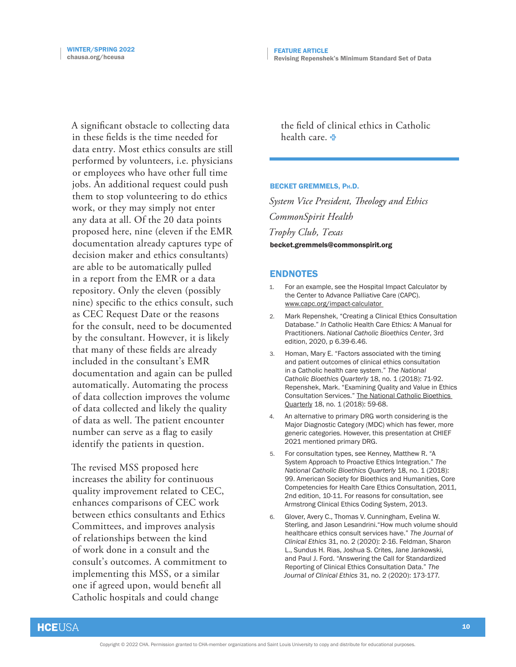A significant obstacle to collecting data in these fields is the time needed for data entry. Most ethics consults are still performed by volunteers, i.e. physicians or employees who have other full time jobs. An additional request could push them to stop volunteering to do ethics work, or they may simply not enter any data at all. Of the 20 data points proposed here, nine (eleven if the EMR documentation already captures type of decision maker and ethics consultants) are able to be automatically pulled in a report from the EMR or a data repository. Only the eleven (possibly nine) specific to the ethics consult, such as CEC Request Date or the reasons for the consult, need to be documented by the consultant. However, it is likely that many of these fields are already included in the consultant's EMR documentation and again can be pulled automatically. Automating the process of data collection improves the volume of data collected and likely the quality of data as well. The patient encounter number can serve as a flag to easily identify the patients in question.

The revised MSS proposed here increases the ability for continuous quality improvement related to CEC, enhances comparisons of CEC work between ethics consultants and Ethics Committees, and improves analysis of relationships between the kind of work done in a consult and the consult's outcomes. A commitment to implementing this MSS, or a similar one if agreed upon, would benefit all Catholic hospitals and could change

the field of clinical ethics in Catholic health care.

#### BECKET GREMMELS, Ph.D.

*System Vice President, Theology and Ethics CommonSpirit Health Trophy Club, Texas* becket.gremmels@commonspirit.org

### ENDNOTES

- 1. For an example, see the Hospital Impact Calculator by the Center to Advance Palliative Care (CAPC). www.capc.org/impact-calculator
- 2. Mark Repenshek, "Creating a Clinical Ethics Consultation Database." *In* Catholic Health Care Ethics: A Manual for Practitioners. *National Catholic Bioethics Center*, 3rd edition, 2020, p 6.39-6.46.
- 3. Homan, Mary E. "Factors associated with the timing and patient outcomes of clinical ethics consultation in a Catholic health care system." *The National Catholic Bioethics Quarterly* 18, no. 1 (2018): 71-92. Repenshek, Mark. "Examining Quality and Value in Ethics Consultation Services." The National Catholic Bioethics Quarterly 18, no. 1 (2018): 59-68.
- 4. An alternative to primary DRG worth considering is the Major Diagnostic Category (MDC) which has fewer, more generic categories. However, this presentation at CHIEF 2021 mentioned primary DRG.
- 5. For consultation types, see Kenney, Matthew R. "A System Approach to Proactive Ethics Integration." *The National Catholic Bioethics Quarterly* 18, no. 1 (2018): 99. American Society for Bioethics and Humanities, Core Competencies for Health Care Ethics Consultation, 2011, 2nd edition, 10-11. For reasons for consultation, see Armstrong Clinical Ethics Coding System, 2013.
- 6. Glover, Avery C., Thomas V. Cunningham, Evelina W. Sterling, and Jason Lesandrini."How much volume should healthcare ethics consult services have." *The Journal of Clinical Ethics* 31, no. 2 (2020): 2-16. Feldman, Sharon L., Sundus H. Rias, Joshua S. Crites, Jane Jankowski, and Paul J. Ford. "Answering the Call for Standardized Reporting of Clinical Ethics Consultation Data." *The Journal of Clinical Ethics* 31, no. 2 (2020): 173-177.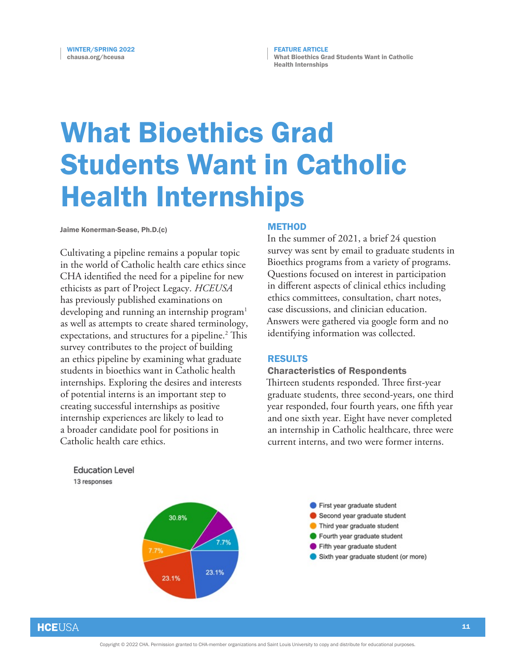#### WINTER/SPRING 2022 chausa.org/hceusa

FEATURE ARTICLE What Bioethics Grad Students Want in Catholic Health Internships

# What Bioethics Grad Students Want in Catholic Health Internships

Jaime Konerman-Sease, Ph.D.(c)

Cultivating a pipeline remains a popular topic in the world of Catholic health care ethics since CHA identified the need for a pipeline for new ethicists as part of Project Legacy. *HCEUSA* has previously published examinations on developing and running an internship program<sup>1</sup> as well as attempts to create shared terminology, expectations, and structures for a pipeline.<sup>2</sup> This survey contributes to the project of building an ethics pipeline by examining what graduate students in bioethics want in Catholic health internships. Exploring the desires and interests of potential interns is an important step to creating successful internships as positive internship experiences are likely to lead to a broader candidate pool for positions in Catholic health care ethics.

#### METHOD

In the summer of 2021, a brief 24 question survey was sent by email to graduate students in Bioethics programs from a variety of programs. Questions focused on interest in participation in different aspects of clinical ethics including ethics committees, consultation, chart notes, case discussions, and clinician education. Answers were gathered via google form and no identifying information was collected.

#### RESULTS

#### Characteristics of Respondents

Thirteen students responded. Three first-year graduate students, three second-years, one third year responded, four fourth years, one fifth year and one sixth year. Eight have never completed an internship in Catholic healthcare, three were current interns, and two were former interns.

**Education Level** 13 responses



First year graduate student Second year graduate student Third year graduate student Fourth year graduate student Fifth year graduate student Sixth year graduate student (or more)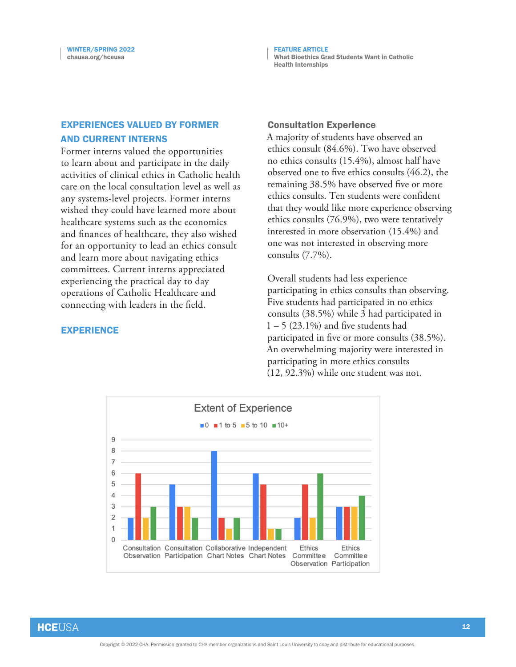# EXPERIENCES VALUED BY FORMER AND CURRENT INTERNS

Former interns valued the opportunities to learn about and participate in the daily activities of clinical ethics in Catholic health care on the local consultation level as well as any systems-level projects. Former interns wished they could have learned more about healthcare systems such as the economics and finances of healthcare, they also wished for an opportunity to lead an ethics consult and learn more about navigating ethics committees. Current interns appreciated experiencing the practical day to day operations of Catholic Healthcare and connecting with leaders in the field.

#### **EXPERIENCE**

### Consultation Experience

A majority of students have observed an ethics consult (84.6%). Two have observed no ethics consults (15.4%), almost half have observed one to five ethics consults (46.2), the remaining 38.5% have observed five or more ethics consults. Ten students were confident that they would like more experience observing ethics consults (76.9%), two were tentatively interested in more observation (15.4%) and one was not interested in observing more consults (7.7%).

Overall students had less experience participating in ethics consults than observing. Five students had participated in no ethics consults (38.5%) while 3 had participated in  $1 - 5$  (23.1%) and five students had participated in five or more consults (38.5%). An overwhelming majority were interested in participating in more ethics consults (12, 92.3%) while one student was not.

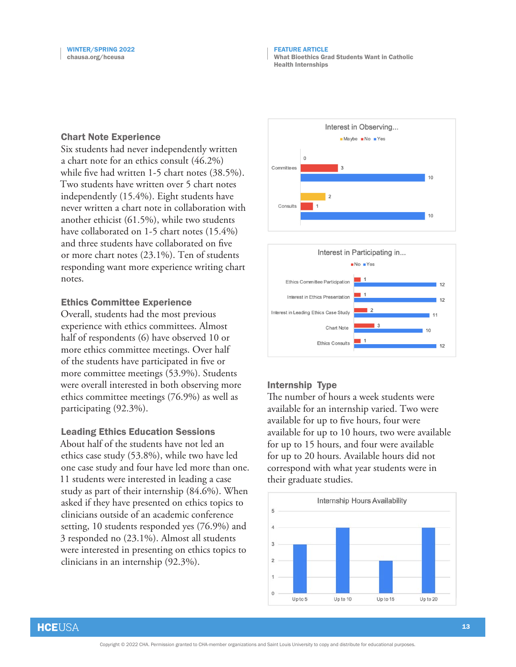#### FEATURE ARTICLE

What Bioethics Grad Students Want in Catholic Health Internships

#### Chart Note Experience

Six students had never independently written a chart note for an ethics consult (46.2%) while five had written 1-5 chart notes (38.5%). Two students have written over 5 chart notes independently (15.4%). Eight students have never written a chart note in collaboration with another ethicist (61.5%), while two students have collaborated on 1-5 chart notes (15.4%) and three students have collaborated on five or more chart notes (23.1%). Ten of students responding want more experience writing chart notes.

#### Ethics Committee Experience

Overall, students had the most previous experience with ethics committees. Almost half of respondents (6) have observed 10 or more ethics committee meetings. Over half of the students have participated in five or more committee meetings (53.9%). Students were overall interested in both observing more ethics committee meetings (76.9%) as well as participating (92.3%).

#### Leading Ethics Education Sessions

About half of the students have not led an ethics case study (53.8%), while two have led one case study and four have led more than one. 11 students were interested in leading a case study as part of their internship (84.6%). When asked if they have presented on ethics topics to clinicians outside of an academic conference setting, 10 students responded yes (76.9%) and 3 responded no (23.1%). Almost all students were interested in presenting on ethics topics to clinicians in an internship (92.3%).





### Internship Type

The number of hours a week students were available for an internship varied. Two were available for up to five hours, four were available for up to 10 hours, two were available for up to 15 hours, and four were available for up to 20 hours. Available hours did not correspond with what year students were in their graduate studies.

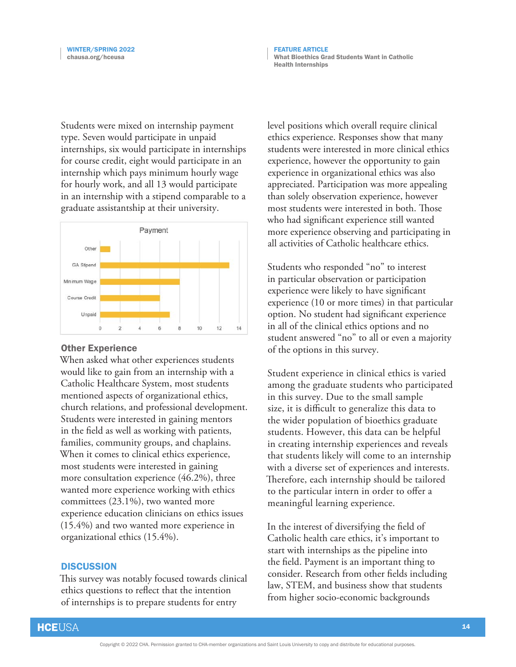Students were mixed on internship payment type. Seven would participate in unpaid internships, six would participate in internships for course credit, eight would participate in an internship which pays minimum hourly wage for hourly work, and all 13 would participate in an internship with a stipend comparable to a graduate assistantship at their university.



### Other Experience

When asked what other experiences students would like to gain from an internship with a Catholic Healthcare System, most students mentioned aspects of organizational ethics, church relations, and professional development. Students were interested in gaining mentors in the field as well as working with patients, families, community groups, and chaplains. When it comes to clinical ethics experience, most students were interested in gaining more consultation experience (46.2%), three wanted more experience working with ethics committees (23.1%), two wanted more experience education clinicians on ethics issues (15.4%) and two wanted more experience in organizational ethics (15.4%).

#### **DISCUSSION**

This survey was notably focused towards clinical ethics questions to reflect that the intention of internships is to prepare students for entry

FEATURE ARTICLE What Bioethics Grad Students Want in Catholic Health Internships

level positions which overall require clinical ethics experience. Responses show that many students were interested in more clinical ethics experience, however the opportunity to gain experience in organizational ethics was also appreciated. Participation was more appealing than solely observation experience, however most students were interested in both. Those who had significant experience still wanted more experience observing and participating in all activities of Catholic healthcare ethics.

Students who responded "no" to interest in particular observation or participation experience were likely to have significant experience (10 or more times) in that particular option. No student had significant experience in all of the clinical ethics options and no student answered "no" to all or even a majority of the options in this survey.

Student experience in clinical ethics is varied among the graduate students who participated in this survey. Due to the small sample size, it is difficult to generalize this data to the wider population of bioethics graduate students. However, this data can be helpful in creating internship experiences and reveals that students likely will come to an internship with a diverse set of experiences and interests. Therefore, each internship should be tailored to the particular intern in order to offer a meaningful learning experience.

In the interest of diversifying the field of Catholic health care ethics, it's important to start with internships as the pipeline into the field. Payment is an important thing to consider. Research from other fields including law, STEM, and business show that students from higher socio-economic backgrounds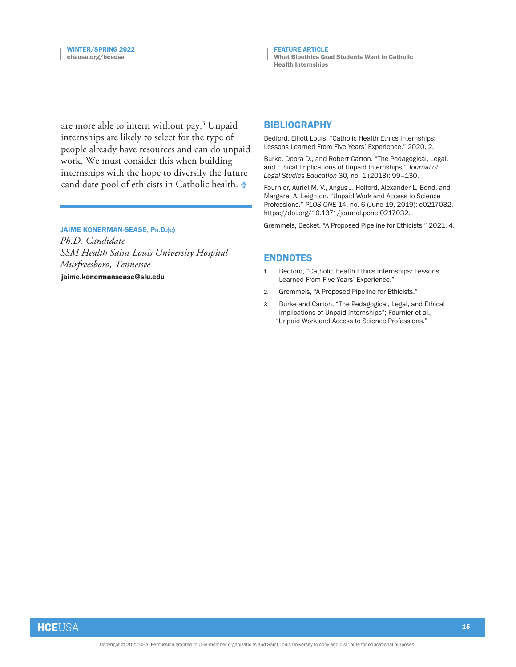are more able to intern without pay.3 Unpaid internships are likely to select for the type of people already have resources and can do unpaid work. We must consider this when building internships with the hope to diversify the future candidate pool of ethicists in Catholic health.

#### JAIME KONERMAN-SEASE, Ph.D.(c)

*Ph.D. Candidate SSM Health Saint Louis University Hospital Murfreesboro, Tennessee* jaime.konermansease@slu.edu

#### FEATURE ARTICLE

What Bioethics Grad Students Want in Catholic Health Internships

#### **BIBLIOGRAPHY**

Bedford, Elliott Louis. "Catholic Health Ethics Internships: Lessons Learned From Five Years' Experience," 2020, 2.

Burke, Debra D., and Robert Carton. "The Pedagogical, Legal, and Ethical Implications of Unpaid Internships." *Journal of Legal Studies Education* 30, no. 1 (2013): 99–130.

Fournier, Auriel M. V., Angus J. Holford, Alexander L. Bond, and Margaret A. Leighton. "Unpaid Work and Access to Science Professions." *PLOS ONE* 14, no. 6 (June 19, 2019): e0217032. https://doi.org/10.1371/journal.pone.0217032.

Gremmels, Becket. "A Proposed Pipeline for Ethicists," 2021, 4.

#### ENDNOTES

- 1. Bedford, "Catholic Health Ethics Internships: Lessons Learned From Five Years' Experience."
- 2. Gremmels, "A Proposed Pipeline for Ethicists."
- 3. Burke and Carton, "The Pedagogical, Legal, and Ethical Implications of Unpaid Internships"; Fournier et al., "Unpaid Work and Access to Science Professions."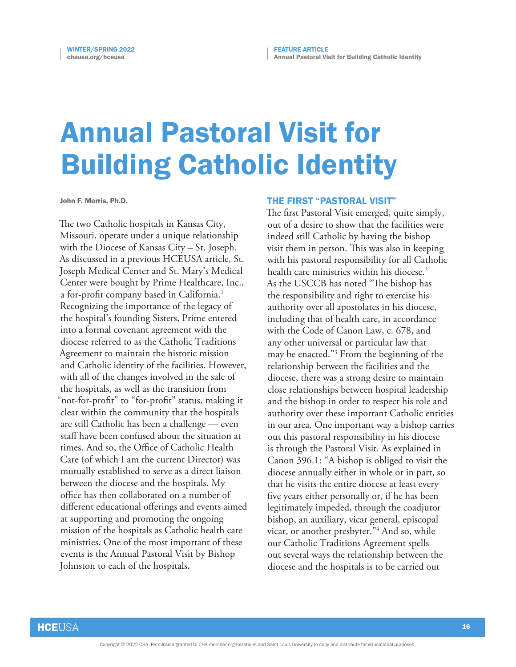# Annual Pastoral Visit for Building Catholic Identity

John F. Morris, Ph.D.

The two Catholic hospitals in Kansas City, Missouri, operate under a unique relationship with the Diocese of Kansas City – St. Joseph. As discussed in a previous HCEUSA article, St. Joseph Medical Center and St. Mary's Medical Center were bought by Prime Healthcare, Inc., a for-profit company based in California.<sup>1</sup> Recognizing the importance of the legacy of the hospital's founding Sisters, Prime entered into a formal covenant agreement with the diocese referred to as the Catholic Traditions Agreement to maintain the historic mission and Catholic identity of the facilities. However, with all of the changes involved in the sale of the hospitals, as well as the transition from "not-for-profit" to "for-profit" status, making it clear within the community that the hospitals are still Catholic has been a challenge — even staff have been confused about the situation at times. And so, the Office of Catholic Health Care (of which I am the current Director) was mutually established to serve as a direct liaison between the diocese and the hospitals. My office has then collaborated on a number of different educational offerings and events aimed at supporting and promoting the ongoing mission of the hospitals as Catholic health care ministries. One of the most important of these events is the Annual Pastoral Visit by Bishop Johnston to each of the hospitals.

#### THE FIRST "PASTORAL VISIT"

The first Pastoral Visit emerged, quite simply, out of a desire to show that the facilities were indeed still Catholic by having the bishop visit them in person. This was also in keeping with his pastoral responsibility for all Catholic health care ministries within his diocese.<sup>2</sup> As the USCCB has noted "The bishop has the responsibility and right to exercise his authority over all apostolates in his diocese, including that of health care, in accordance with the Code of Canon Law, c. 678, and any other universal or particular law that may be enacted."3 From the beginning of the relationship between the facilities and the diocese, there was a strong desire to maintain close relationships between hospital leadership and the bishop in order to respect his role and authority over these important Catholic entities in our area. One important way a bishop carries out this pastoral responsibility in his diocese is through the Pastoral Visit. As explained in Canon 396.1: "A bishop is obliged to visit the diocese annually either in whole or in part, so that he visits the entire diocese at least every five years either personally or, if he has been legitimately impeded, through the coadjutor bishop, an auxiliary, vicar general, episcopal vicar, or another presbyter."4 And so, while our Catholic Traditions Agreement spells out several ways the relationship between the diocese and the hospitals is to be carried out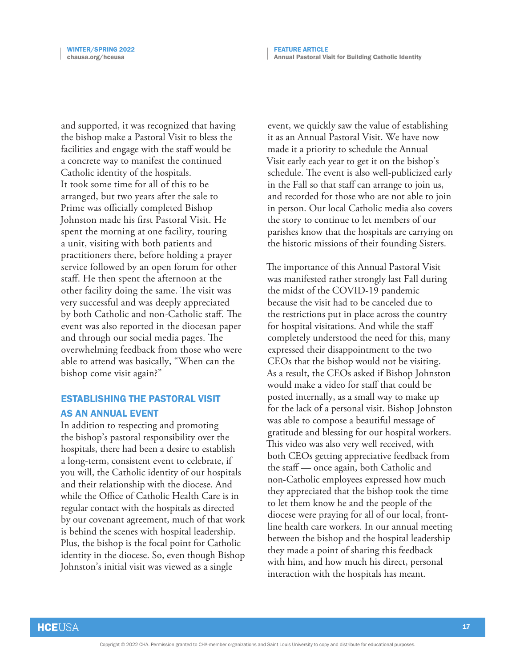and supported, it was recognized that having the bishop make a Pastoral Visit to bless the facilities and engage with the staff would be a concrete way to manifest the continued Catholic identity of the hospitals. It took some time for all of this to be arranged, but two years after the sale to Prime was officially completed Bishop Johnston made his first Pastoral Visit. He spent the morning at one facility, touring a unit, visiting with both patients and practitioners there, before holding a prayer service followed by an open forum for other staff. He then spent the afternoon at the other facility doing the same. The visit was very successful and was deeply appreciated by both Catholic and non-Catholic staff. The event was also reported in the diocesan paper and through our social media pages. The overwhelming feedback from those who were able to attend was basically, "When can the bishop come visit again?"

# ESTABLISHING THE PASTORAL VISIT AS AN ANNUAL EVENT

In addition to respecting and promoting the bishop's pastoral responsibility over the hospitals, there had been a desire to establish a long-term, consistent event to celebrate, if you will, the Catholic identity of our hospitals and their relationship with the diocese. And while the Office of Catholic Health Care is in regular contact with the hospitals as directed by our covenant agreement, much of that work is behind the scenes with hospital leadership. Plus, the bishop is the focal point for Catholic identity in the diocese. So, even though Bishop Johnston's initial visit was viewed as a single

event, we quickly saw the value of establishing it as an Annual Pastoral Visit. We have now made it a priority to schedule the Annual Visit early each year to get it on the bishop's schedule. The event is also well-publicized early in the Fall so that staff can arrange to join us, and recorded for those who are not able to join in person. Our local Catholic media also covers the story to continue to let members of our parishes know that the hospitals are carrying on the historic missions of their founding Sisters.

The importance of this Annual Pastoral Visit was manifested rather strongly last Fall during the midst of the COVID-19 pandemic because the visit had to be canceled due to the restrictions put in place across the country for hospital visitations. And while the staff completely understood the need for this, many expressed their disappointment to the two CEOs that the bishop would not be visiting. As a result, the CEOs asked if Bishop Johnston would make a video for staff that could be posted internally, as a small way to make up for the lack of a personal visit. Bishop Johnston was able to compose a beautiful message of gratitude and blessing for our hospital workers. This video was also very well received, with both CEOs getting appreciative feedback from the staff — once again, both Catholic and non-Catholic employees expressed how much they appreciated that the bishop took the time to let them know he and the people of the diocese were praying for all of our local, frontline health care workers. In our annual meeting between the bishop and the hospital leadership they made a point of sharing this feedback with him, and how much his direct, personal interaction with the hospitals has meant.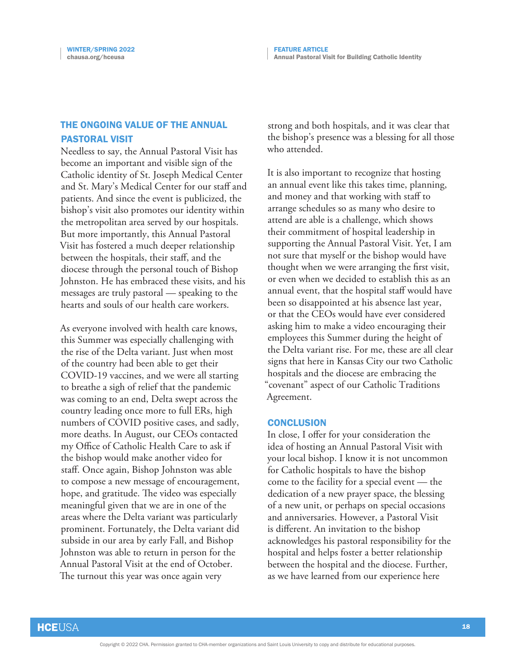# THE ONGOING VALUE OF THE ANNUAL PASTORAL VISIT

Needless to say, the Annual Pastoral Visit has become an important and visible sign of the Catholic identity of St. Joseph Medical Center and St. Mary's Medical Center for our staff and patients. And since the event is publicized, the bishop's visit also promotes our identity within the metropolitan area served by our hospitals. But more importantly, this Annual Pastoral Visit has fostered a much deeper relationship between the hospitals, their staff, and the diocese through the personal touch of Bishop Johnston. He has embraced these visits, and his messages are truly pastoral — speaking to the hearts and souls of our health care workers.

As everyone involved with health care knows, this Summer was especially challenging with the rise of the Delta variant. Just when most of the country had been able to get their COVID-19 vaccines, and we were all starting to breathe a sigh of relief that the pandemic was coming to an end, Delta swept across the country leading once more to full ERs, high numbers of COVID positive cases, and sadly, more deaths. In August, our CEOs contacted my Office of Catholic Health Care to ask if the bishop would make another video for staff. Once again, Bishop Johnston was able to compose a new message of encouragement, hope, and gratitude. The video was especially meaningful given that we are in one of the areas where the Delta variant was particularly prominent. Fortunately, the Delta variant did subside in our area by early Fall, and Bishop Johnston was able to return in person for the Annual Pastoral Visit at the end of October. The turnout this year was once again very

strong and both hospitals, and it was clear that the bishop's presence was a blessing for all those who attended.

It is also important to recognize that hosting an annual event like this takes time, planning, and money and that working with staff to arrange schedules so as many who desire to attend are able is a challenge, which shows their commitment of hospital leadership in supporting the Annual Pastoral Visit. Yet, I am not sure that myself or the bishop would have thought when we were arranging the first visit, or even when we decided to establish this as an annual event, that the hospital staff would have been so disappointed at his absence last year, or that the CEOs would have ever considered asking him to make a video encouraging their employees this Summer during the height of the Delta variant rise. For me, these are all clear signs that here in Kansas City our two Catholic hospitals and the diocese are embracing the "covenant" aspect of our Catholic Traditions Agreement.

#### **CONCLUSION**

In close, I offer for your consideration the idea of hosting an Annual Pastoral Visit with your local bishop. I know it is not uncommon for Catholic hospitals to have the bishop come to the facility for a special event — the dedication of a new prayer space, the blessing of a new unit, or perhaps on special occasions and anniversaries. However, a Pastoral Visit is different. An invitation to the bishop acknowledges his pastoral responsibility for the hospital and helps foster a better relationship between the hospital and the diocese. Further, as we have learned from our experience here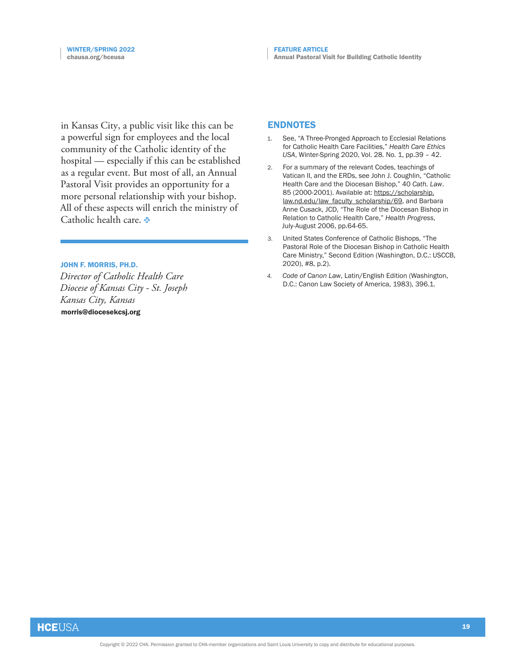in Kansas City, a public visit like this can be a powerful sign for employees and the local community of the Catholic identity of the hospital — especially if this can be established as a regular event. But most of all, an Annual Pastoral Visit provides an opportunity for a more personal relationship with your bishop. All of these aspects will enrich the ministry of Catholic health care. <sup>⊕</sup>

#### JOHN F. MORRIS, PH.D.

*Director of Catholic Health Care Diocese of Kansas City - St. Joseph Kansas City, Kansas* morris@diocesekcsj.org

#### ENDNOTES

- 1. See, "A Three-Pronged Approach to Ecclesial Relations for Catholic Health Care Facilities," *Health Care Ethics USA*, Winter-Spring 2020, Vol. 28. No. 1, pp.39 – 42.
- 2. For a summary of the relevant Codes, teachings of Vatican II, and the ERDs, see John J. Coughlin, "Catholic Health Care and the Diocesan Bishop," 40 *Cath. Law*. 85 (2000-2001). Available at: https://scholarship. law.nd.edu/law\_faculty\_scholarship/69, and Barbara Anne Cusack, JCD, "The Role of the Diocesan Bishop in Relation to Catholic Health Care," *Health Progress*, July-August 2006, pp.64-65.
- 3. United States Conference of Catholic Bishops, "The Pastoral Role of the Diocesan Bishop in Catholic Health Care Ministry," Second Edition (Washington, D.C.: USCCB, 2020), #8, p.2).
- *4. Code of Canon Law*, Latin/English Edition (Washington, D.C.: Canon Law Society of America, 1983), 396.1.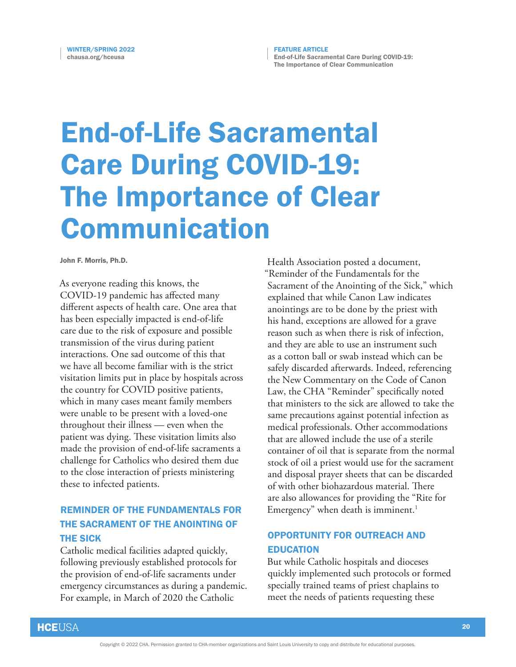FEATURE ARTICLE End-of-Life Sacramental Care During COVID-19: The Importance of Clear Communication

# End-of-Life Sacramental **Care During COVID-19:** The Importance of Clear Communication

John F. Morris, Ph.D.

As everyone reading this knows, the COVID-19 pandemic has affected many different aspects of health care. One area that has been especially impacted is end-of-life care due to the risk of exposure and possible transmission of the virus during patient interactions. One sad outcome of this that we have all become familiar with is the strict visitation limits put in place by hospitals across the country for COVID positive patients, which in many cases meant family members were unable to be present with a loved-one throughout their illness — even when the patient was dying. These visitation limits also made the provision of end-of-life sacraments a challenge for Catholics who desired them due to the close interaction of priests ministering these to infected patients.

# REMINDER OF THE FUNDAMENTALS FOR THE SACRAMENT OF THE ANOINTING OF THE SICK

Catholic medical facilities adapted quickly, following previously established protocols for the provision of end-of-life sacraments under emergency circumstances as during a pandemic. For example, in March of 2020 the Catholic

Health Association posted a document, "Reminder of the Fundamentals for the Sacrament of the Anointing of the Sick," which explained that while Canon Law indicates anointings are to be done by the priest with his hand, exceptions are allowed for a grave reason such as when there is risk of infection, and they are able to use an instrument such as a cotton ball or swab instead which can be safely discarded afterwards. Indeed, referencing the New Commentary on the Code of Canon Law, the CHA "Reminder" specifically noted that ministers to the sick are allowed to take the same precautions against potential infection as medical professionals. Other accommodations that are allowed include the use of a sterile container of oil that is separate from the normal stock of oil a priest would use for the sacrament and disposal prayer sheets that can be discarded of with other biohazardous material. There are also allowances for providing the "Rite for Emergency" when death is imminent.<sup>1</sup>

# OPPORTUNITY FOR OUTREACH AND EDUCATION

But while Catholic hospitals and dioceses quickly implemented such protocols or formed specially trained teams of priest chaplains to meet the needs of patients requesting these

20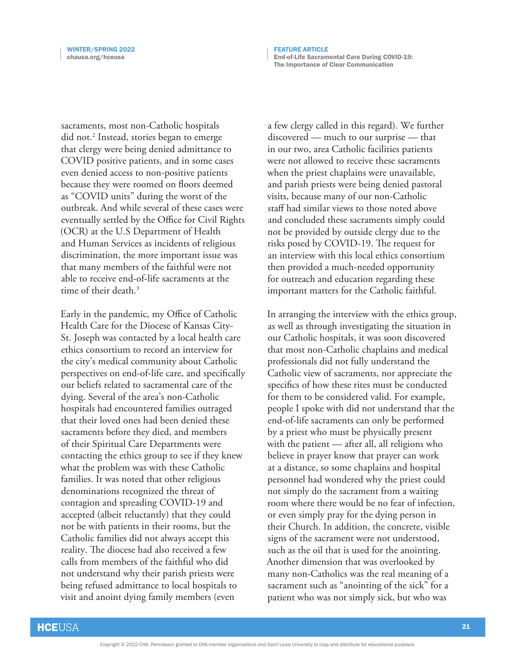sacraments, most non-Catholic hospitals did not.<sup>2</sup> Instead, stories began to emerge that clergy were being denied admittance to COVID positive patients, and in some cases even denied access to non-positive patients because they were roomed on floors deemed as "COVID units" during the worst of the outbreak. And while several of these cases were eventually settled by the Office for Civil Rights (OCR) at the U.S Department of Health and Human Services as incidents of religious discrimination, the more important issue was that many members of the faithful were not able to receive end-of-life sacraments at the time of their death.<sup>3</sup>

Early in the pandemic, my Office of Catholic Health Care for the Diocese of Kansas City-St. Joseph was contacted by a local health care ethics consortium to record an interview for the city's medical community about Catholic perspectives on end-of-life care, and specifically our beliefs related to sacramental care of the dying. Several of the area's non-Catholic hospitals had encountered families outraged that their loved ones had been denied these sacraments before they died, and members of their Spiritual Care Departments were contacting the ethics group to see if they knew what the problem was with these Catholic families. It was noted that other religious denominations recognized the threat of contagion and spreading COVID-19 and accepted (albeit reluctantly) that they could not be with patients in their rooms, but the Catholic families did not always accept this reality. The diocese had also received a few calls from members of the faithful who did not understand why their parish priests were being refused admittance to local hospitals to visit and anoint dying family members (even

FEATURE ARTICLE End-of-Life Sacramental Care During COVID-19: The Importance of Clear Communication

a few clergy called in this regard). We further discovered — much to our surprise — that in our two, area Catholic facilities patients were not allowed to receive these sacraments when the priest chaplains were unavailable, and parish priests were being denied pastoral visits, because many of our non-Catholic staff had similar views to those noted above and concluded these sacraments simply could not be provided by outside clergy due to the risks posed by COVID-19. The request for an interview with this local ethics consortium then provided a much-needed opportunity for outreach and education regarding these important matters for the Catholic faithful.

In arranging the interview with the ethics group, as well as through investigating the situation in our Catholic hospitals, it was soon discovered that most non-Catholic chaplains and medical professionals did not fully understand the Catholic view of sacraments, nor appreciate the specifics of how these rites must be conducted for them to be considered valid. For example, people I spoke with did not understand that the end-of-life sacraments can only be performed by a priest who must be physically present with the patient — after all, all religions who believe in prayer know that prayer can work at a distance, so some chaplains and hospital personnel had wondered why the priest could not simply do the sacrament from a waiting room where there would be no fear of infection, or even simply pray for the dying person in their Church. In addition, the concrete, visible signs of the sacrament were not understood, such as the oil that is used for the anointing. Another dimension that was overlooked by many non-Catholics was the real meaning of a sacrament such as "anointing of the sick" for a patient who was not simply sick, but who was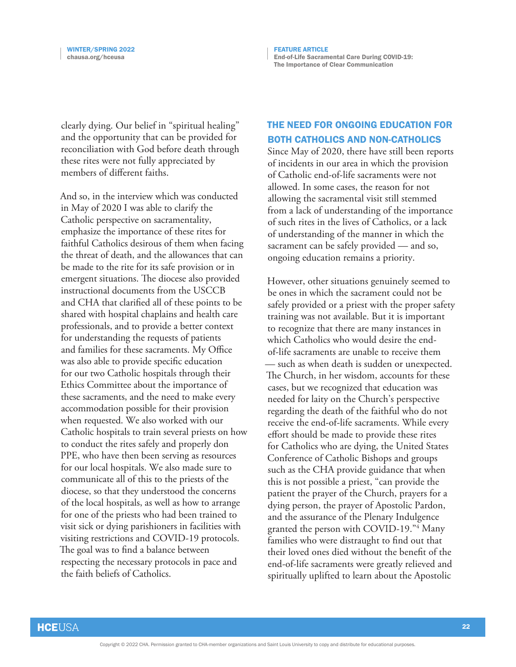FEATURE ARTICLE End-of-Life Sacramental Care During COVID-19: The Importance of Clear Communication

clearly dying. Our belief in "spiritual healing" and the opportunity that can be provided for reconciliation with God before death through these rites were not fully appreciated by members of different faiths.

And so, in the interview which was conducted in May of 2020 I was able to clarify the Catholic perspective on sacramentality, emphasize the importance of these rites for faithful Catholics desirous of them when facing the threat of death, and the allowances that can be made to the rite for its safe provision or in emergent situations. The diocese also provided instructional documents from the USCCB and CHA that clarified all of these points to be shared with hospital chaplains and health care professionals, and to provide a better context for understanding the requests of patients and families for these sacraments. My Office was also able to provide specific education for our two Catholic hospitals through their Ethics Committee about the importance of these sacraments, and the need to make every accommodation possible for their provision when requested. We also worked with our Catholic hospitals to train several priests on how to conduct the rites safely and properly don PPE, who have then been serving as resources for our local hospitals. We also made sure to communicate all of this to the priests of the diocese, so that they understood the concerns of the local hospitals, as well as how to arrange for one of the priests who had been trained to visit sick or dying parishioners in facilities with visiting restrictions and COVID-19 protocols. The goal was to find a balance between respecting the necessary protocols in pace and the faith beliefs of Catholics.

# THE NEED FOR ONGOING EDUCATION FOR BOTH CATHOLICS AND NON-CATHOLICS

Since May of 2020, there have still been reports of incidents in our area in which the provision of Catholic end-of-life sacraments were not allowed. In some cases, the reason for not allowing the sacramental visit still stemmed from a lack of understanding of the importance of such rites in the lives of Catholics, or a lack of understanding of the manner in which the sacrament can be safely provided — and so, ongoing education remains a priority.

However, other situations genuinely seemed to be ones in which the sacrament could not be safely provided or a priest with the proper safety training was not available. But it is important to recognize that there are many instances in which Catholics who would desire the endof-life sacraments are unable to receive them — such as when death is sudden or unexpected. The Church, in her wisdom, accounts for these cases, but we recognized that education was needed for laity on the Church's perspective regarding the death of the faithful who do not receive the end-of-life sacraments. While every effort should be made to provide these rites for Catholics who are dying, the United States Conference of Catholic Bishops and groups such as the CHA provide guidance that when this is not possible a priest, "can provide the patient the prayer of the Church, prayers for a dying person, the prayer of Apostolic Pardon, and the assurance of the Plenary Indulgence granted the person with COVID-19."4 Many families who were distraught to find out that their loved ones died without the benefit of the end-of-life sacraments were greatly relieved and spiritually uplifted to learn about the Apostolic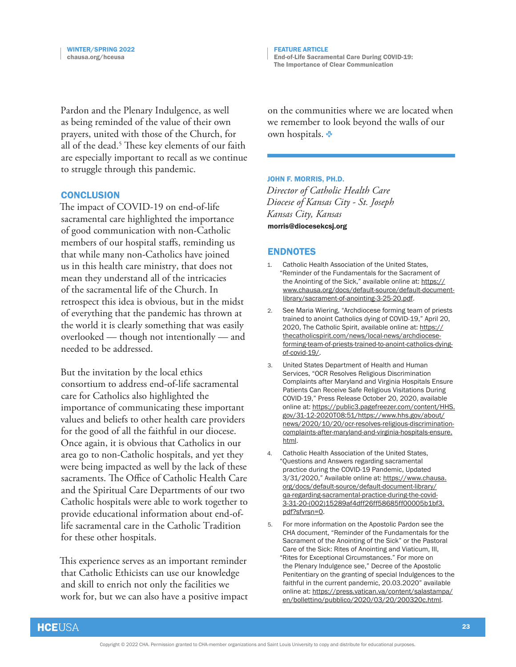Pardon and the Plenary Indulgence, as well as being reminded of the value of their own prayers, united with those of the Church, for all of the dead.<sup>5</sup> These key elements of our faith are especially important to recall as we continue to struggle through this pandemic.

### **CONCLUSION**

The impact of COVID-19 on end-of-life sacramental care highlighted the importance of good communication with non-Catholic members of our hospital staffs, reminding us that while many non-Catholics have joined us in this health care ministry, that does not mean they understand all of the intricacies of the sacramental life of the Church. In retrospect this idea is obvious, but in the midst of everything that the pandemic has thrown at the world it is clearly something that was easily overlooked — though not intentionally — and needed to be addressed.

But the invitation by the local ethics consortium to address end-of-life sacramental care for Catholics also highlighted the importance of communicating these important values and beliefs to other health care providers for the good of all the faithful in our diocese. Once again, it is obvious that Catholics in our area go to non-Catholic hospitals, and yet they were being impacted as well by the lack of these sacraments. The Office of Catholic Health Care and the Spiritual Care Departments of our two Catholic hospitals were able to work together to provide educational information about end-oflife sacramental care in the Catholic Tradition for these other hospitals.

This experience serves as an important reminder that Catholic Ethicists can use our knowledge and skill to enrich not only the facilities we work for, but we can also have a positive impact FEATURE ARTICLE End-of-Life Sacramental Care During COVID-19: The Importance of Clear Communication

on the communities where we are located when we remember to look beyond the walls of our own hospitals.

#### JOHN F. MORRIS, PH.D.

*Director of Catholic Health Care Diocese of Kansas City - St. Joseph Kansas City, Kansas* morris@diocesekcsj.org

#### ENDNOTES

- Catholic Health Association of the United States, "Reminder of the Fundamentals for the Sacrament of the Anointing of the Sick," available online at: https:// www.chausa.org/docs/default-source/default-documentlibrary/sacrament-of-anointing-3-25-20.pdf.
- 2. See Maria Wiering, "Archdiocese forming team of priests trained to anoint Catholics dying of COVID-19," April 20, 2020, The Catholic Spirit, available online at: https:// thecatholicspirit.com/news/local-news/archdioceseforming-team-of-priests-trained-to-anoint-catholics-dyingof-covid-19/.
- 3. United States Department of Health and Human Services, "OCR Resolves Religious Discrimination Complaints after Maryland and Virginia Hospitals Ensure Patients Can Receive Safe Religious Visitations During COVID-19," Press Release October 20, 2020, available online at: https://public3.pagefreezer.com/content/HHS. gov/31-12-2020T08:51/https://www.hhs.gov/about/ news/2020/10/20/ocr-resolves-religious-discriminationcomplaints-after-maryland-and-virginia-hospitals-ensure. html.
- 4. Catholic Health Association of the United States, "Questions and Answers regarding sacramental practice during the COVID-19 Pandemic, Updated 3/31/2020," Available online at: https://www.chausa. org/docs/default-source/default-document-library/ qa-regarding-sacramental-practice-during-the-covid-3-31-20-(002)15289af4dff26ff58685ff00005b1bf3. pdf?sfvrsn=0.
- 5. For more information on the Apostolic Pardon see the CHA document, "Reminder of the Fundamentals for the Sacrament of the Anointing of the Sick" or the Pastoral Care of the Sick: Rites of Anointing and Viaticum, III, "Rites for Exceptional Circumstances." For more on the Plenary Indulgence see," Decree of the Apostolic Penitentiary on the granting of special Indulgences to the faithful in the current pandemic, 20.03.2020" available online at: https://press.vatican.va/content/salastampa/ en/bollettino/pubblico/2020/03/20/200320c.html.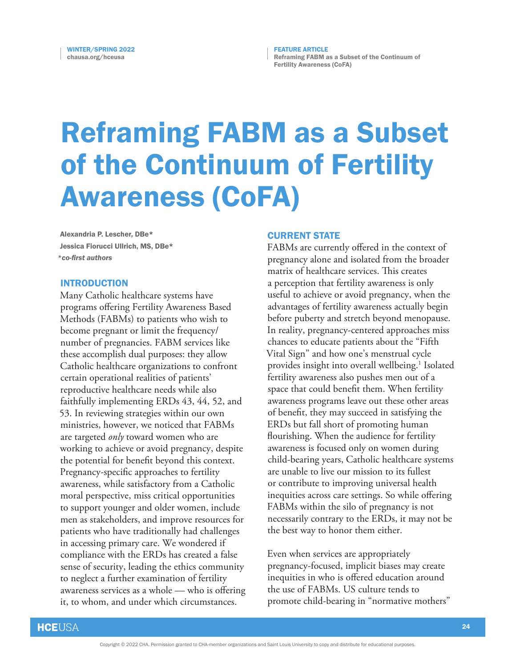FEATURE ARTICLE Reframing FABM as a Subset of the Continuum of Fertility Awareness (CoFA)

# Reframing FABM as a Subset of the Continuum of Fertility Awareness (CoFA)

Alexandria P. Lescher, DBe\* Jessica Fiorucci Ullrich, MS, DBe\* *\*co-first authors*

#### INTRODUCTION

Many Catholic healthcare systems have programs offering Fertility Awareness Based Methods (FABMs) to patients who wish to become pregnant or limit the frequency/ number of pregnancies. FABM services like these accomplish dual purposes: they allow Catholic healthcare organizations to confront certain operational realities of patients' reproductive healthcare needs while also faithfully implementing ERDs 43, 44, 52, and 53. In reviewing strategies within our own ministries, however, we noticed that FABMs are targeted *only* toward women who are working to achieve or avoid pregnancy, despite the potential for benefit beyond this context. Pregnancy-specific approaches to fertility awareness, while satisfactory from a Catholic moral perspective, miss critical opportunities to support younger and older women, include men as stakeholders, and improve resources for patients who have traditionally had challenges in accessing primary care. We wondered if compliance with the ERDs has created a false sense of security, leading the ethics community to neglect a further examination of fertility awareness services as a whole — who is offering it, to whom, and under which circumstances.

#### CURRENT STATE

FABMs are currently offered in the context of pregnancy alone and isolated from the broader matrix of healthcare services. This creates a perception that fertility awareness is only useful to achieve or avoid pregnancy, when the advantages of fertility awareness actually begin before puberty and stretch beyond menopause. In reality, pregnancy-centered approaches miss chances to educate patients about the "Fifth Vital Sign" and how one's menstrual cycle provides insight into overall wellbeing.<sup>1</sup> Isolated fertility awareness also pushes men out of a space that could benefit them. When fertility awareness programs leave out these other areas of benefit, they may succeed in satisfying the ERDs but fall short of promoting human flourishing. When the audience for fertility awareness is focused only on women during child-bearing years, Catholic healthcare systems are unable to live our mission to its fullest or contribute to improving universal health inequities across care settings. So while offering FABMs within the silo of pregnancy is not necessarily contrary to the ERDs, it may not be the best way to honor them either.

Even when services are appropriately pregnancy-focused, implicit biases may create inequities in who is offered education around the use of FABMs. US culture tends to promote child-bearing in "normative mothers"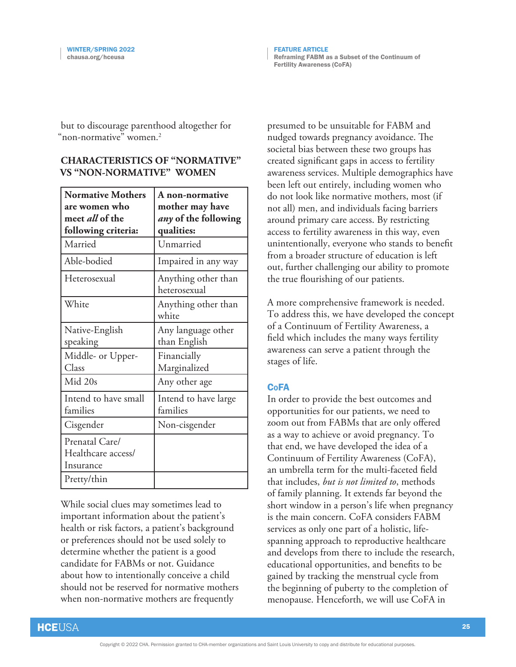FEATURE ARTICLE Reframing FABM as a Subset of the Continuum of Fertility Awareness (CoFA)

but to discourage parenthood altogether for "non-normative" women.2

### **CHARACTERISTICS OF "NORMATIVE" VS "NON-NORMATIVE" WOMEN**

| <b>Normative Mothers</b><br>are women who<br>meet all of the<br>following criteria: | <b>A</b> non-normative<br>mother may have<br>any of the following<br>qualities: |
|-------------------------------------------------------------------------------------|---------------------------------------------------------------------------------|
| Married                                                                             | Unmarried                                                                       |
| Able-bodied                                                                         | Impaired in any way                                                             |
| Heterosexual                                                                        | Anything other than<br>heterosexual                                             |
| White                                                                               | Anything other than<br>white                                                    |
| Native-English<br>speaking                                                          | Any language other<br>than English                                              |
| Middle- or Upper-<br>Class                                                          | Financially<br>Marginalized                                                     |
| Mid 20s                                                                             | Any other age                                                                   |
| Intend to have small<br>families                                                    | Intend to have large<br>families                                                |
| Cisgender                                                                           | Non-cisgender                                                                   |
| Prenatal Care/<br>Healthcare access/<br>Insurance                                   |                                                                                 |
| Pretty/thin                                                                         |                                                                                 |

While social clues may sometimes lead to important information about the patient's health or risk factors, a patient's background or preferences should not be used solely to determine whether the patient is a good candidate for FABMs or not. Guidance about how to intentionally conceive a child should not be reserved for normative mothers when non-normative mothers are frequently

presumed to be unsuitable for FABM and nudged towards pregnancy avoidance. The societal bias between these two groups has created significant gaps in access to fertility awareness services. Multiple demographics have been left out entirely, including women who do not look like normative mothers, most (if not all) men, and individuals facing barriers around primary care access. By restricting access to fertility awareness in this way, even unintentionally, everyone who stands to benefit from a broader structure of education is left out, further challenging our ability to promote the true flourishing of our patients.

A more comprehensive framework is needed. To address this, we have developed the concept of a Continuum of Fertility Awareness, a field which includes the many ways fertility awareness can serve a patient through the stages of life.

# **CoFA**

In order to provide the best outcomes and opportunities for our patients, we need to zoom out from FABMs that are only offered as a way to achieve or avoid pregnancy. To that end, we have developed the idea of a Continuum of Fertility Awareness (CoFA), an umbrella term for the multi-faceted field that includes, *but is not limited to*, methods of family planning. It extends far beyond the short window in a person's life when pregnancy is the main concern. CoFA considers FABM services as only one part of a holistic, lifespanning approach to reproductive healthcare and develops from there to include the research, educational opportunities, and benefits to be gained by tracking the menstrual cycle from the beginning of puberty to the completion of menopause. Henceforth, we will use CoFA in

Copyright © 2022 CHA. Permission granted to CHA-member organizations and Saint Louis University to copy and distribute for educational purposes.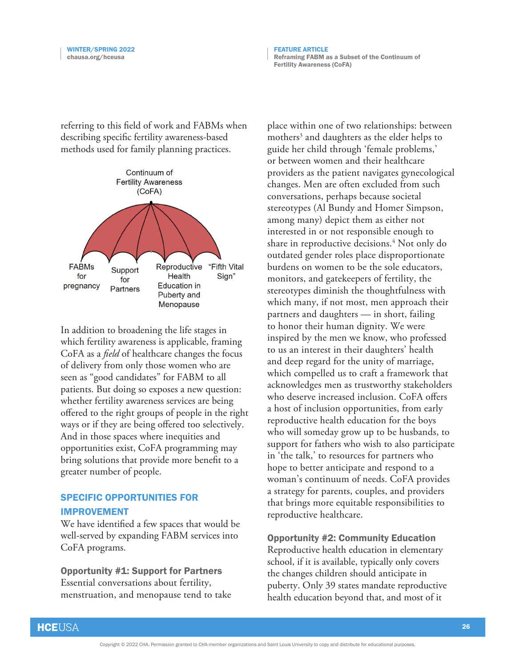referring to this field of work and FABMs when describing specific fertility awareness-based methods used for family planning practices.



In addition to broadening the life stages in which fertility awareness is applicable, framing CoFA as a *field* of healthcare changes the focus of delivery from only those women who are seen as "good candidates" for FABM to all patients. But doing so exposes a new question: whether fertility awareness services are being offered to the right groups of people in the right ways or if they are being offered too selectively. And in those spaces where inequities and opportunities exist, CoFA programming may bring solutions that provide more benefit to a greater number of people.

### SPECIFIC OPPORTUNITIES FOR IMPROVEMENT

We have identified a few spaces that would be well-served by expanding FABM services into CoFA programs.

Opportunity #1: Support for Partners Essential conversations about fertility, menstruation, and menopause tend to take FEATURE ARTICLE Reframing FABM as a Subset of the Continuum of Fertility Awareness (CoFA)

place within one of two relationships: between mothers<sup>3</sup> and daughters as the elder helps to guide her child through 'female problems,' or between women and their healthcare providers as the patient navigates gynecological changes. Men are often excluded from such conversations, perhaps because societal stereotypes (Al Bundy and Homer Simpson, among many) depict them as either not interested in or not responsible enough to share in reproductive decisions.4 Not only do outdated gender roles place disproportionate burdens on women to be the sole educators, monitors, and gatekeepers of fertility, the stereotypes diminish the thoughtfulness with which many, if not most, men approach their partners and daughters — in short, failing to honor their human dignity. We were inspired by the men we know, who professed to us an interest in their daughters' health and deep regard for the unity of marriage, which compelled us to craft a framework that acknowledges men as trustworthy stakeholders who deserve increased inclusion. CoFA offers a host of inclusion opportunities, from early reproductive health education for the boys who will someday grow up to be husbands, to support for fathers who wish to also participate in 'the talk,' to resources for partners who hope to better anticipate and respond to a woman's continuum of needs. CoFA provides a strategy for parents, couples, and providers that brings more equitable responsibilities to reproductive healthcare.

Opportunity #2: Community Education Reproductive health education in elementary school, if it is available, typically only covers the changes children should anticipate in puberty. Only 39 states mandate reproductive health education beyond that, and most of it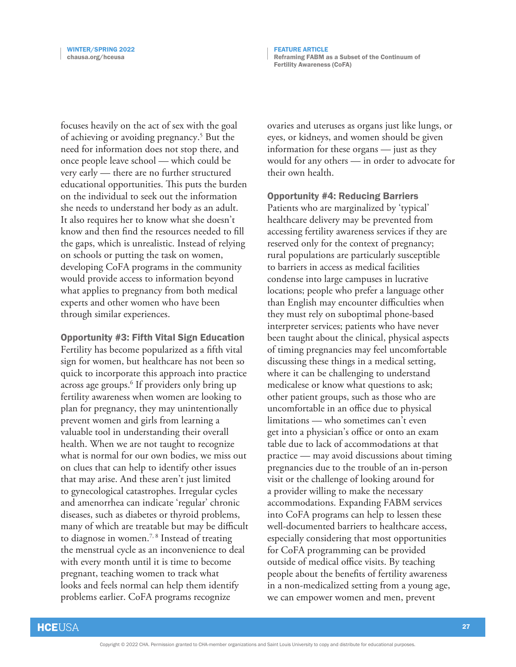#### FEATURE ARTICLE Reframing FABM as a Subset of the Continuum of

Fertility Awareness (CoFA)

focuses heavily on the act of sex with the goal of achieving or avoiding pregnancy.5 But the need for information does not stop there, and once people leave school — which could be very early — there are no further structured educational opportunities. This puts the burden on the individual to seek out the information she needs to understand her body as an adult. It also requires her to know what she doesn't know and then find the resources needed to fill the gaps, which is unrealistic. Instead of relying on schools or putting the task on women, developing CoFA programs in the community would provide access to information beyond what applies to pregnancy from both medical experts and other women who have been through similar experiences.

Opportunity #3: Fifth Vital Sign Education Fertility has become popularized as a fifth vital sign for women, but healthcare has not been so quick to incorporate this approach into practice across age groups.6 If providers only bring up fertility awareness when women are looking to plan for pregnancy, they may unintentionally prevent women and girls from learning a valuable tool in understanding their overall health. When we are not taught to recognize what is normal for our own bodies, we miss out on clues that can help to identify other issues that may arise. And these aren't just limited to gynecological catastrophes. Irregular cycles and amenorrhea can indicate 'regular' chronic diseases, such as diabetes or thyroid problems, many of which are treatable but may be difficult to diagnose in women.<sup>7, 8</sup> Instead of treating the menstrual cycle as an inconvenience to deal with every month until it is time to become pregnant, teaching women to track what looks and feels normal can help them identify problems earlier. CoFA programs recognize

ovaries and uteruses as organs just like lungs, or eyes, or kidneys, and women should be given information for these organs — just as they would for any others — in order to advocate for their own health.

Opportunity #4: Reducing Barriers Patients who are marginalized by 'typical' healthcare delivery may be prevented from accessing fertility awareness services if they are reserved only for the context of pregnancy; rural populations are particularly susceptible to barriers in access as medical facilities condense into large campuses in lucrative locations; people who prefer a language other than English may encounter difficulties when they must rely on suboptimal phone-based interpreter services; patients who have never been taught about the clinical, physical aspects of timing pregnancies may feel uncomfortable discussing these things in a medical setting, where it can be challenging to understand medicalese or know what questions to ask; other patient groups, such as those who are uncomfortable in an office due to physical limitations — who sometimes can't even get into a physician's office or onto an exam table due to lack of accommodations at that practice — may avoid discussions about timing pregnancies due to the trouble of an in-person visit or the challenge of looking around for a provider willing to make the necessary accommodations. Expanding FABM services into CoFA programs can help to lessen these well-documented barriers to healthcare access, especially considering that most opportunities for CoFA programming can be provided outside of medical office visits. By teaching people about the benefits of fertility awareness in a non-medicalized setting from a young age, we can empower women and men, prevent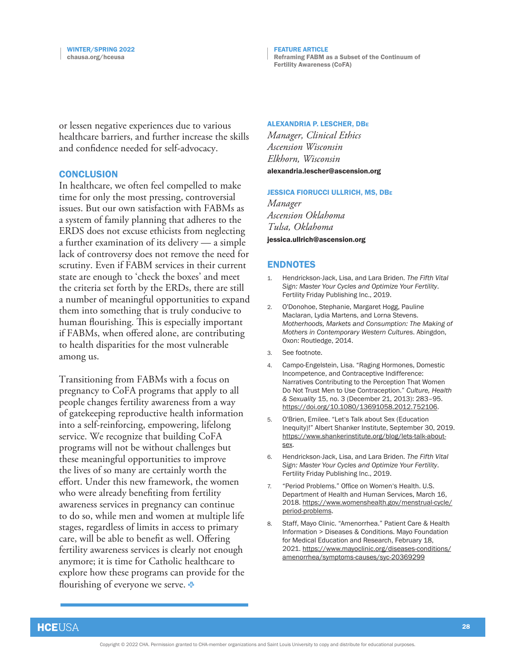#### FEATURE ARTICLE

Reframing FABM as a Subset of the Continuum of Fertility Awareness (CoFA)

or lessen negative experiences due to various healthcare barriers, and further increase the skills and confidence needed for self-advocacy.

#### **CONCLUSION**

In healthcare, we often feel compelled to make time for only the most pressing, controversial issues. But our own satisfaction with FABMs as a system of family planning that adheres to the ERDS does not excuse ethicists from neglecting a further examination of its delivery — a simple lack of controversy does not remove the need for scrutiny. Even if FABM services in their current state are enough to 'check the boxes' and meet the criteria set forth by the ERDs, there are still a number of meaningful opportunities to expand them into something that is truly conducive to human flourishing. This is especially important if FABMs, when offered alone, are contributing to health disparities for the most vulnerable among us.

Transitioning from FABMs with a focus on pregnancy to CoFA programs that apply to all people changes fertility awareness from a way of gatekeeping reproductive health information into a self-reinforcing, empowering, lifelong service. We recognize that building CoFA programs will not be without challenges but these meaningful opportunities to improve the lives of so many are certainly worth the effort. Under this new framework, the women who were already benefiting from fertility awareness services in pregnancy can continue to do so, while men and women at multiple life stages, regardless of limits in access to primary care, will be able to benefit as well. Offering fertility awareness services is clearly not enough anymore; it is time for Catholic healthcare to explore how these programs can provide for the flourishing of everyone we serve.

#### ALEXANDRIA P. LESCHER, DB<sup>e</sup>

*Manager, Clinical Ethics Ascension Wisconsin Elkhorn, Wisconsin* alexandria.lescher@ascension.org

#### JESSICA FIORUCCI ULLRICH, MS, DB<sup>e</sup>

*Manager Ascension Oklahoma Tulsa, Oklahoma* jessica.ullrich@ascension.org

#### ENDNOTES

- 1. Hendrickson-Jack, Lisa, and Lara Briden. *The Fifth Vital Sign: Master Your Cycles and Optimize Your Fertility*. Fertility Friday Publishing Inc., 2019.
- 2. O'Donohoe, Stephanie, Margaret Hogg, Pauline Maclaran, Lydia Martens, and Lorna Stevens. *Motherhoods, Markets and Consumption: The Making of Mothers in Contemporary Western Cultures*. Abingdon, Oxon: Routledge, 2014.
- 3. See footnote.
- 4. Campo-Engelstein, Lisa. "Raging Hormones, Domestic Incompetence, and Contraceptive Indifference: Narratives Contributing to the Perception That Women Do Not Trust Men to Use Contraception." *Culture, Health & Sexuality* 15, no. 3 (December 21, 2013): 283–95. https://doi.org/10.1080/13691058.2012.752106.
- 5. O'Brien, Emilee. "Let's Talk about Sex (Education Inequity)!" Albert Shanker Institute, September 30, 2019. https://www.shankerinstitute.org/blog/lets-talk-aboutsex.
- 6. Hendrickson-Jack, Lisa, and Lara Briden. *The Fifth Vital Sign: Master Your Cycles and Optimize Your Fertility*. Fertility Friday Publishing Inc., 2019.
- 7. "Period Problems." Office on Women's Health. U.S. Department of Health and Human Services, March 16, 2018. https://www.womenshealth.gov/menstrual-cycle/ period-problems.
- 8. Staff, Mayo Clinic. "Amenorrhea." Patient Care & Health Information > Diseases & Conditions. Mayo Foundation for Medical Education and Research, February 18, 2021. https://www.mayoclinic.org/diseases-conditions/ amenorrhea/symptoms-causes/syc-20369299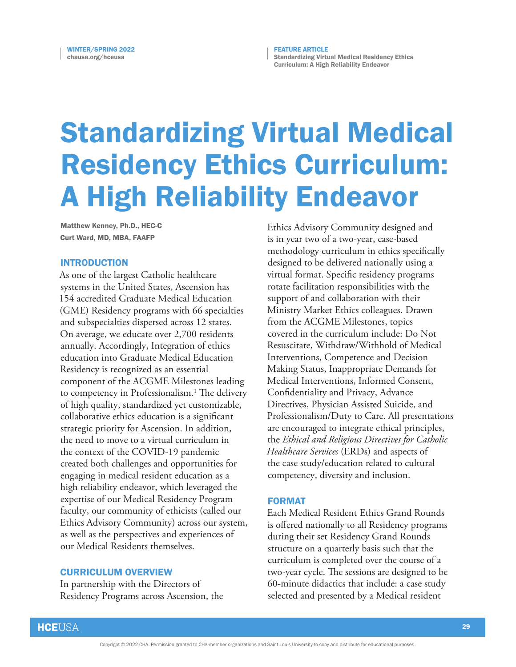#### WINTER/SPRING 2022 chausa.org/hceusa

FEATURE ARTICLE Standardizing Virtual Medical Residency Ethics Curriculum: A High Reliability Endeavor

# Standardizing Virtual Medical Residency Ethics Curriculum: A High Reliability Endeavor

Matthew Kenney, Ph.D., HEC-C Curt Ward, MD, MBA, FAAFP

#### INTRODUCTION

As one of the largest Catholic healthcare systems in the United States, Ascension has 154 accredited Graduate Medical Education (GME) Residency programs with 66 specialties and subspecialties dispersed across 12 states. On average, we educate over 2,700 residents annually. Accordingly, Integration of ethics education into Graduate Medical Education Residency is recognized as an essential component of the ACGME Milestones leading to competency in Professionalism.<sup>1</sup> The delivery of high quality, standardized yet customizable, collaborative ethics education is a significant strategic priority for Ascension. In addition, the need to move to a virtual curriculum in the context of the COVID-19 pandemic created both challenges and opportunities for engaging in medical resident education as a high reliability endeavor, which leveraged the expertise of our Medical Residency Program faculty, our community of ethicists (called our Ethics Advisory Community) across our system, as well as the perspectives and experiences of our Medical Residents themselves.

#### CURRICULUM OVERVIEW

In partnership with the Directors of Residency Programs across Ascension, the

Ethics Advisory Community designed and is in year two of a two-year, case-based methodology curriculum in ethics specifically designed to be delivered nationally using a virtual format. Specific residency programs rotate facilitation responsibilities with the support of and collaboration with their Ministry Market Ethics colleagues. Drawn from the ACGME Milestones, topics covered in the curriculum include: Do Not Resuscitate, Withdraw/Withhold of Medical Interventions, Competence and Decision Making Status, Inappropriate Demands for Medical Interventions, Informed Consent, Confidentiality and Privacy, Advance Directives, Physician Assisted Suicide, and Professionalism/Duty to Care. All presentations are encouraged to integrate ethical principles, the *Ethical and Religious Directives for Catholic Healthcare Services* (ERDs) and aspects of the case study/education related to cultural competency, diversity and inclusion.

#### FORMAT

Each Medical Resident Ethics Grand Rounds is offered nationally to all Residency programs during their set Residency Grand Rounds structure on a quarterly basis such that the curriculum is completed over the course of a two-year cycle. The sessions are designed to be 60-minute didactics that include: a case study selected and presented by a Medical resident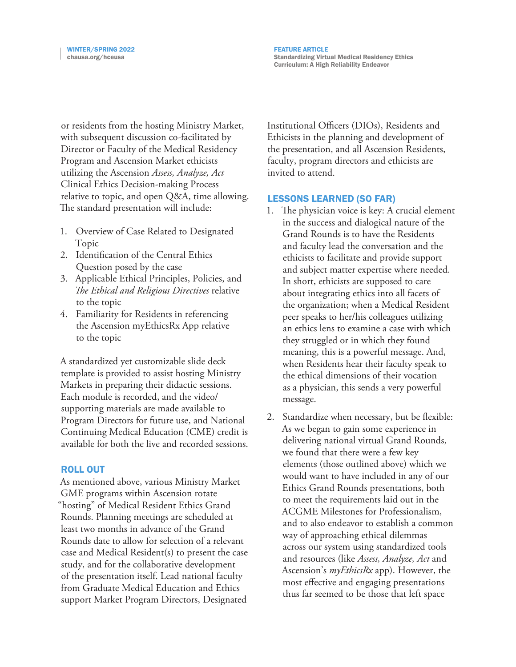or residents from the hosting Ministry Market, with subsequent discussion co-facilitated by Director or Faculty of the Medical Residency Program and Ascension Market ethicists utilizing the Ascension *Assess, Analyze, Act* Clinical Ethics Decision-making Process relative to topic, and open Q&A, time allowing. The standard presentation will include:

- 1. Overview of Case Related to Designated Topic
- 2. Identification of the Central Ethics Question posed by the case
- 3. Applicable Ethical Principles, Policies, and *The Ethical and Religious Directives* relative to the topic
- 4. Familiarity for Residents in referencing the Ascension myEthicsRx App relative to the topic

A standardized yet customizable slide deck template is provided to assist hosting Ministry Markets in preparing their didactic sessions. Each module is recorded, and the video/ supporting materials are made available to Program Directors for future use, and National Continuing Medical Education (CME) credit is available for both the live and recorded sessions.

### ROLL OUT

As mentioned above, various Ministry Market GME programs within Ascension rotate "hosting" of Medical Resident Ethics Grand Rounds. Planning meetings are scheduled at least two months in advance of the Grand Rounds date to allow for selection of a relevant case and Medical Resident(s) to present the case study, and for the collaborative development of the presentation itself. Lead national faculty from Graduate Medical Education and Ethics support Market Program Directors, Designated

Institutional Officers (DIOs), Residents and Ethicists in the planning and development of the presentation, and all Ascension Residents, faculty, program directors and ethicists are invited to attend.

### LESSONS LEARNED (SO FAR)

- 1. The physician voice is key: A crucial element in the success and dialogical nature of the Grand Rounds is to have the Residents and faculty lead the conversation and the ethicists to facilitate and provide support and subject matter expertise where needed. In short, ethicists are supposed to care about integrating ethics into all facets of the organization; when a Medical Resident peer speaks to her/his colleagues utilizing an ethics lens to examine a case with which they struggled or in which they found meaning, this is a powerful message. And, when Residents hear their faculty speak to the ethical dimensions of their vocation as a physician, this sends a very powerful message.
- 2. Standardize when necessary, but be flexible: As we began to gain some experience in delivering national virtual Grand Rounds, we found that there were a few key elements (those outlined above) which we would want to have included in any of our Ethics Grand Rounds presentations, both to meet the requirements laid out in the ACGME Milestones for Professionalism, and to also endeavor to establish a common way of approaching ethical dilemmas across our system using standardized tools and resources (like *Assess, Analyze, Act* and Ascension's *myEthicsRx* app). However, the most effective and engaging presentations thus far seemed to be those that left space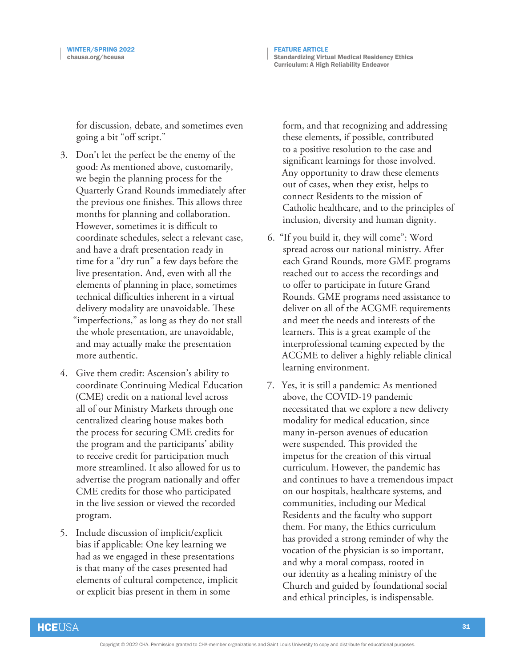for discussion, debate, and sometimes even going a bit "off script."

- 3. Don't let the perfect be the enemy of the good: As mentioned above, customarily, we begin the planning process for the Quarterly Grand Rounds immediately after the previous one finishes. This allows three months for planning and collaboration. However, sometimes it is difficult to coordinate schedules, select a relevant case, and have a draft presentation ready in time for a "dry run" a few days before the live presentation. And, even with all the elements of planning in place, sometimes technical difficulties inherent in a virtual delivery modality are unavoidable. These "imperfections," as long as they do not stall the whole presentation, are unavoidable, and may actually make the presentation more authentic.
- 4. Give them credit: Ascension's ability to coordinate Continuing Medical Education (CME) credit on a national level across all of our Ministry Markets through one centralized clearing house makes both the process for securing CME credits for the program and the participants' ability to receive credit for participation much more streamlined. It also allowed for us to advertise the program nationally and offer CME credits for those who participated in the live session or viewed the recorded program.
- 5. Include discussion of implicit/explicit bias if applicable: One key learning we had as we engaged in these presentations is that many of the cases presented had elements of cultural competence, implicit or explicit bias present in them in some

FEATURE ARTICLE Standardizing Virtual Medical Residency Ethics Curriculum: A High Reliability Endeavor

form, and that recognizing and addressing these elements, if possible, contributed to a positive resolution to the case and significant learnings for those involved. Any opportunity to draw these elements out of cases, when they exist, helps to connect Residents to the mission of Catholic healthcare, and to the principles of inclusion, diversity and human dignity.

- 6. "If you build it, they will come": Word spread across our national ministry. After each Grand Rounds, more GME programs reached out to access the recordings and to offer to participate in future Grand Rounds. GME programs need assistance to deliver on all of the ACGME requirements and meet the needs and interests of the learners. This is a great example of the interprofessional teaming expected by the ACGME to deliver a highly reliable clinical learning environment.
- 7. Yes, it is still a pandemic: As mentioned above, the COVID-19 pandemic necessitated that we explore a new delivery modality for medical education, since many in-person avenues of education were suspended. This provided the impetus for the creation of this virtual curriculum. However, the pandemic has and continues to have a tremendous impact on our hospitals, healthcare systems, and communities, including our Medical Residents and the faculty who support them. For many, the Ethics curriculum has provided a strong reminder of why the vocation of the physician is so important, and why a moral compass, rooted in our identity as a healing ministry of the Church and guided by foundational social and ethical principles, is indispensable.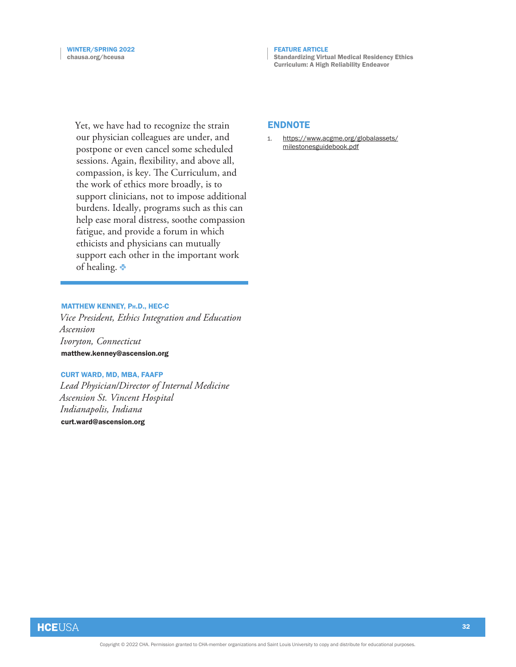#### FEATURE ARTICLE

Standardizing Virtual Medical Residency Ethics Curriculum: A High Reliability Endeavor

Yet, we have had to recognize the strain our physician colleagues are under, and postpone or even cancel some scheduled sessions. Again, flexibility, and above all, compassion, is key. The Curriculum, and the work of ethics more broadly, is to support clinicians, not to impose additional burdens. Ideally, programs such as this can help ease moral distress, soothe compassion fatigue, and provide a forum in which ethicists and physicians can mutually support each other in the important work of healing.

#### ENDNOTE

1. https://www.acgme.org/globalassets/ milestonesguidebook.pdf

#### MATTHEW KENNEY, Ph.D., HEC-C

*Vice President, Ethics Integration and Education Ascension Ivoryton, Connecticut* matthew.kenney@ascension.org

#### CURT WARD, MD, MBA, FAAFP

*Lead Physician/Director of Internal Medicine Ascension St. Vincent Hospital Indianapolis, Indiana* curt.ward@ascension.org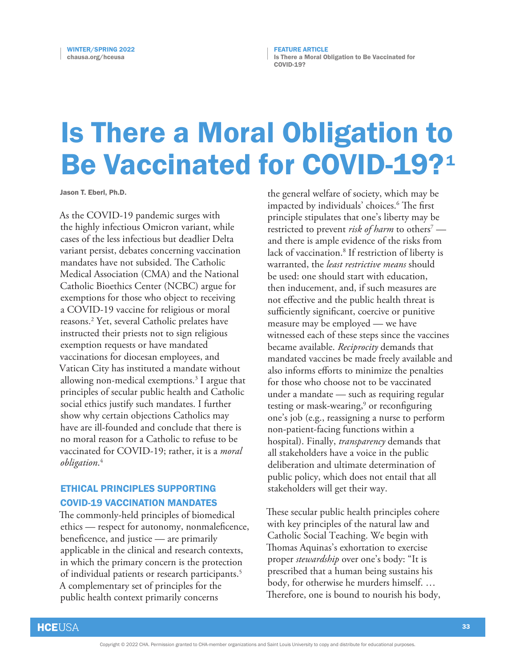FEATURE ARTICLE Is There a Moral Obligation to Be Vaccinated for COVID-19?

# Is There a Moral Obligation to Be Vaccinated for COVID-19?1

Jason T. Eberl, Ph.D.

As the COVID-19 pandemic surges with the highly infectious Omicron variant, while cases of the less infectious but deadlier Delta variant persist, debates concerning vaccination mandates have not subsided. The Catholic Medical Association (CMA) and the National Catholic Bioethics Center (NCBC) argue for exemptions for those who object to receiving a COVID-19 vaccine for religious or moral reasons.2 Yet, several Catholic prelates have instructed their priests not to sign religious exemption requests or have mandated vaccinations for diocesan employees, and Vatican City has instituted a mandate without allowing non-medical exemptions. $3$  I argue that principles of secular public health and Catholic social ethics justify such mandates. I further show why certain objections Catholics may have are ill-founded and conclude that there is no moral reason for a Catholic to refuse to be vaccinated for COVID-19; rather, it is a *moral obligation*. 4

# ETHICAL PRINCIPLES SUPPORTING COVID-19 VACCINATION MANDATES

The commonly-held principles of biomedical ethics — respect for autonomy, nonmaleficence, beneficence, and justice — are primarily applicable in the clinical and research contexts, in which the primary concern is the protection of individual patients or research participants.<sup>5</sup> A complementary set of principles for the public health context primarily concerns

the general welfare of society, which may be impacted by individuals' choices.<sup>6</sup> The first principle stipulates that one's liberty may be restricted to prevent *risk of harm* to others<sup>7</sup> and there is ample evidence of the risks from lack of vaccination.8 If restriction of liberty is warranted, the *least restrictive means* should be used: one should start with education, then inducement, and, if such measures are not effective and the public health threat is sufficiently significant, coercive or punitive measure may be employed — we have witnessed each of these steps since the vaccines became available. *Reciprocity* demands that mandated vaccines be made freely available and also informs efforts to minimize the penalties for those who choose not to be vaccinated under a mandate — such as requiring regular testing or mask-wearing,<sup>9</sup> or reconfiguring one's job (e.g., reassigning a nurse to perform non-patient-facing functions within a hospital). Finally, *transparency* demands that all stakeholders have a voice in the public deliberation and ultimate determination of public policy, which does not entail that all stakeholders will get their way.

These secular public health principles cohere with key principles of the natural law and Catholic Social Teaching. We begin with Thomas Aquinas's exhortation to exercise proper *stewardship* over one's body: "It is prescribed that a human being sustains his body, for otherwise he murders himself. … Therefore, one is bound to nourish his body,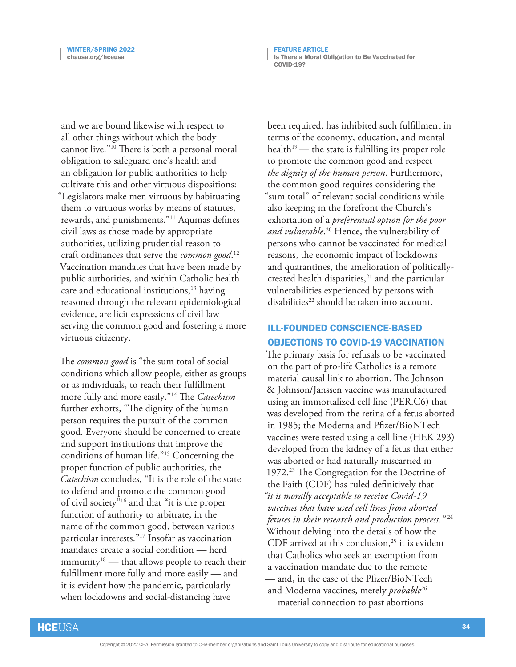and we are bound likewise with respect to all other things without which the body cannot live."10 There is both a personal moral obligation to safeguard one's health and an obligation for public authorities to help cultivate this and other virtuous dispositions: "Legislators make men virtuous by habituating them to virtuous works by means of statutes, rewards, and punishments."11 Aquinas defines civil laws as those made by appropriate authorities, utilizing prudential reason to craft ordinances that serve the *common good*. 12 Vaccination mandates that have been made by public authorities, and within Catholic health care and educational institutions, $13$  having reasoned through the relevant epidemiological evidence, are licit expressions of civil law serving the common good and fostering a more virtuous citizenry.

The *common good* is "the sum total of social conditions which allow people, either as groups or as individuals, to reach their fulfillment more fully and more easily."14 The *Catechism* further exhorts, "The dignity of the human person requires the pursuit of the common good. Everyone should be concerned to create and support institutions that improve the conditions of human life."15 Concerning the proper function of public authorities, the *Catechism* concludes, "It is the role of the state to defend and promote the common good of civil society"16 and that "it is the proper function of authority to arbitrate, in the name of the common good, between various particular interests."17 Insofar as vaccination mandates create a social condition — herd  $\text{immunity}^{18}$  — that allows people to reach their fulfillment more fully and more easily — and it is evident how the pandemic, particularly when lockdowns and social-distancing have

FEATURE ARTICLE Is There a Moral Obligation to Be Vaccinated for COVID-19?

been required, has inhibited such fulfillment in terms of the economy, education, and mental health<sup>19</sup> — the state is fulfilling its proper role to promote the common good and respect *the dignity of the human person*. Furthermore, the common good requires considering the "sum total" of relevant social conditions while also keeping in the forefront the Church's exhortation of a *preferential option for the poor and vulnerable*. 20 Hence, the vulnerability of persons who cannot be vaccinated for medical reasons, the economic impact of lockdowns and quarantines, the amelioration of politicallycreated health disparities, $21$  and the particular vulnerabilities experienced by persons with disabilities<sup>22</sup> should be taken into account.

# ILL-FOUNDED CONSCIENCE-BASED OBJECTIONS TO COVID-19 VACCINATION

The primary basis for refusals to be vaccinated on the part of pro-life Catholics is a remote material causal link to abortion. The Johnson & Johnson/Janssen vaccine was manufactured using an immortalized cell line (PER.C6) that was developed from the retina of a fetus aborted in 1985; the Moderna and Pfizer/BioNTech vaccines were tested using a cell line (HEK 293) developed from the kidney of a fetus that either was aborted or had naturally miscarried in 1972.23 The Congregation for the Doctrine of the Faith (CDF) has ruled definitively that *"it is morally acceptable to receive Covid-19 vaccines that have used cell lines from aborted fetuses in their research and production process."* <sup>24</sup> Without delving into the details of how the CDF arrived at this conclusion, $^{25}$  it is evident that Catholics who seek an exemption from a vaccination mandate due to the remote — and, in the case of the Pfizer/BioNTech and Moderna vaccines, merely *probable26* — material connection to past abortions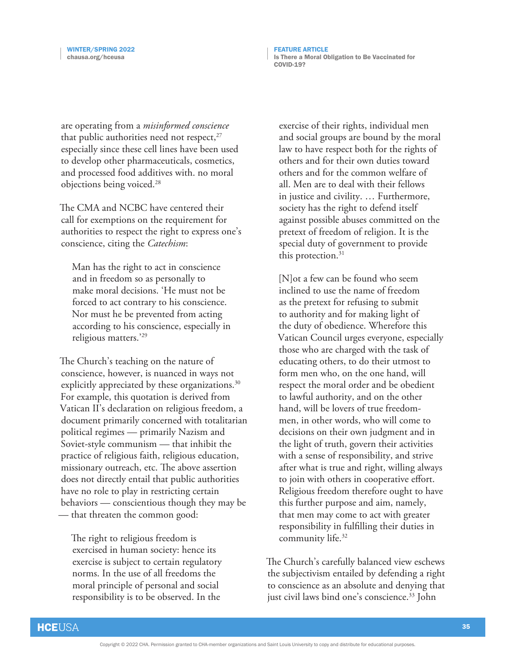are operating from a *misinformed conscience*  that public authorities need not respect, $27$ especially since these cell lines have been used to develop other pharmaceuticals, cosmetics, and processed food additives with. no moral objections being voiced.28

The CMA and NCBC have centered their call for exemptions on the requirement for authorities to respect the right to express one's conscience, citing the *Catechism*:

Man has the right to act in conscience and in freedom so as personally to make moral decisions. 'He must not be forced to act contrary to his conscience. Nor must he be prevented from acting according to his conscience, especially in religious matters.'29

The Church's teaching on the nature of conscience, however, is nuanced in ways not explicitly appreciated by these organizations.<sup>30</sup> For example, this quotation is derived from Vatican II's declaration on religious freedom, a document primarily concerned with totalitarian political regimes — primarily Nazism and Soviet-style communism — that inhibit the practice of religious faith, religious education, missionary outreach, etc. The above assertion does not directly entail that public authorities have no role to play in restricting certain behaviors — conscientious though they may be — that threaten the common good:

The right to religious freedom is exercised in human society: hence its exercise is subject to certain regulatory norms. In the use of all freedoms the moral principle of personal and social responsibility is to be observed. In the

exercise of their rights, individual men and social groups are bound by the moral law to have respect both for the rights of others and for their own duties toward others and for the common welfare of all. Men are to deal with their fellows in justice and civility. … Furthermore, society has the right to defend itself against possible abuses committed on the pretext of freedom of religion. It is the special duty of government to provide

Is There a Moral Obligation to Be Vaccinated for

this protection.<sup>31</sup>

FEATURE ARTICLE

COVID-19?

[N]ot a few can be found who seem inclined to use the name of freedom as the pretext for refusing to submit to authority and for making light of the duty of obedience. Wherefore this Vatican Council urges everyone, especially those who are charged with the task of educating others, to do their utmost to form men who, on the one hand, will respect the moral order and be obedient to lawful authority, and on the other hand, will be lovers of true freedommen, in other words, who will come to decisions on their own judgment and in the light of truth, govern their activities with a sense of responsibility, and strive after what is true and right, willing always to join with others in cooperative effort. Religious freedom therefore ought to have this further purpose and aim, namely, that men may come to act with greater responsibility in fulfilling their duties in community life.<sup>32</sup>

The Church's carefully balanced view eschews the subjectivism entailed by defending a right to conscience as an absolute and denying that just civil laws bind one's conscience.<sup>33</sup> John

Copyright © 2022 CHA. Permission granted to CHA-member organizations and Saint Louis University to copy and distribute for educational purposes.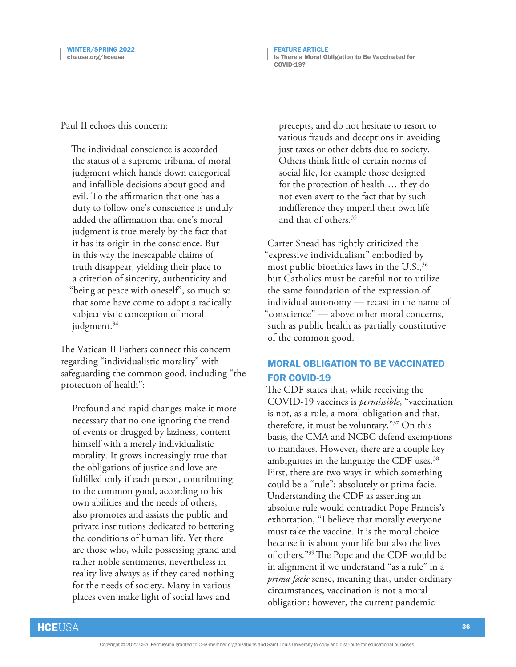FEATURE ARTICLE Is There a Moral Obligation to Be Vaccinated for COVID-19?

Paul II echoes this concern:

The individual conscience is accorded the status of a supreme tribunal of moral judgment which hands down categorical and infallible decisions about good and evil. To the affirmation that one has a duty to follow one's conscience is unduly added the affirmation that one's moral judgment is true merely by the fact that it has its origin in the conscience. But in this way the inescapable claims of truth disappear, yielding their place to a criterion of sincerity, authenticity and "being at peace with oneself", so much so that some have come to adopt a radically subjectivistic conception of moral judgment.<sup>34</sup>

The Vatican II Fathers connect this concern regarding "individualistic morality" with safeguarding the common good, including "the protection of health":

Profound and rapid changes make it more necessary that no one ignoring the trend of events or drugged by laziness, content himself with a merely individualistic morality. It grows increasingly true that the obligations of justice and love are fulfilled only if each person, contributing to the common good, according to his own abilities and the needs of others, also promotes and assists the public and private institutions dedicated to bettering the conditions of human life. Yet there are those who, while possessing grand and rather noble sentiments, nevertheless in reality live always as if they cared nothing for the needs of society. Many in various places even make light of social laws and

precepts, and do not hesitate to resort to various frauds and deceptions in avoiding just taxes or other debts due to society. Others think little of certain norms of social life, for example those designed for the protection of health … they do not even avert to the fact that by such indifference they imperil their own life and that of others.35

Carter Snead has rightly criticized the "expressive individualism" embodied by most public bioethics laws in the  $U.S.,<sup>36</sup>$ but Catholics must be careful not to utilize the same foundation of the expression of individual autonomy — recast in the name of "conscience" — above other moral concerns, such as public health as partially constitutive of the common good.

# MORAL OBLIGATION TO BE VACCINATED FOR COVID-19

The CDF states that, while receiving the COVID-19 vaccines is *permissible*, "vaccination is not, as a rule, a moral obligation and that, therefore, it must be voluntary."37 On this basis, the CMA and NCBC defend exemptions to mandates. However, there are a couple key ambiguities in the language the CDF uses.<sup>38</sup> First, there are two ways in which something could be a "rule": absolutely or prima facie. Understanding the CDF as asserting an absolute rule would contradict Pope Francis's exhortation, "I believe that morally everyone must take the vaccine. It is the moral choice because it is about your life but also the lives of others."39 The Pope and the CDF would be in alignment if we understand "as a rule" in a *prima facie* sense, meaning that, under ordinary circumstances, vaccination is not a moral obligation; however, the current pandemic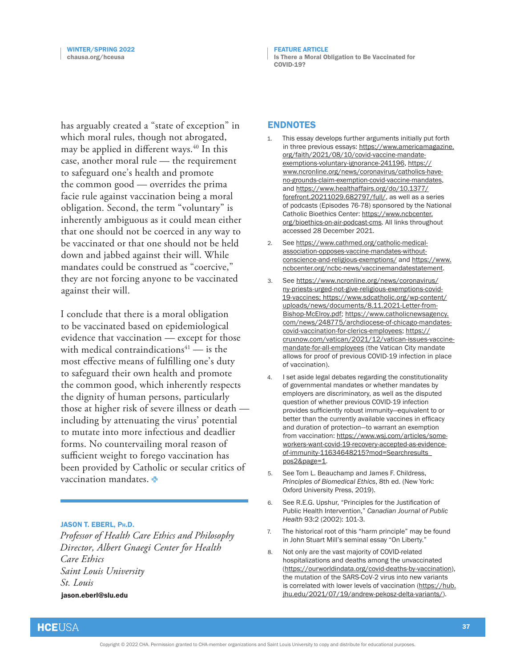Is There a Moral Obligation to Be Vaccinated for COVID-19?

has arguably created a "state of exception" in which moral rules, though not abrogated, may be applied in different ways.<sup>40</sup> In this case, another moral rule — the requirement to safeguard one's health and promote the common good — overrides the prima facie rule against vaccination being a moral obligation. Second, the term "voluntary" is inherently ambiguous as it could mean either that one should not be coerced in any way to be vaccinated or that one should not be held down and jabbed against their will. While mandates could be construed as "coercive," they are not forcing anyone to be vaccinated against their will.

I conclude that there is a moral obligation to be vaccinated based on epidemiological evidence that vaccination — except for those with medical contraindications<sup>41</sup> — is the most effective means of fulfilling one's duty to safeguard their own health and promote the common good, which inherently respects the dignity of human persons, particularly those at higher risk of severe illness or death including by attenuating the virus' potential to mutate into more infectious and deadlier forms. No countervailing moral reason of sufficient weight to forego vaccination has been provided by Catholic or secular critics of vaccination mandates.

#### JASON T. EBERL, Ph.D.

*Professor of Health Care Ethics and Philosophy Director, Albert Gnaegi Center for Health Care Ethics Saint Louis University St. Louis* jason.eberl@slu.edu

#### ENDNOTES

- This essay develops further arguments initially put forth in three previous essays: https://www.americamagazine. org/faith/2021/08/10/covid-vaccine-mandateexemptions-voluntary-ignorance-241196, https:// www.ncronline.org/news/coronavirus/catholics-haveno-grounds-claim-exemption-covid-vaccine-mandates, and https://www.healthaffairs.org/do/10.1377/ forefront.20211029.682797/full/, as well as a series of podcasts (Episodes 76-78) sponsored by the National Catholic Bioethics Center: https://www.ncbcenter. org/bioethics-on-air-podcast-cms. All links throughout accessed 28 December 2021.
- 2. See https://www.cathmed.org/catholic-medicalassociation-opposes-vaccine-mandates-withoutconscience-and-religious-exemptions/ and https://www. ncbcenter.org/ncbc-news/vaccinemandatestatement.
- 3. See https://www.ncronline.org/news/coronavirus/ ny-priests-urged-not-give-religious-exemptions-covid-19-vaccines; https://www.sdcatholic.org/wp-content/ uploads/news/documents/8.11.2021-Letter-from-Bishop-McElroy.pdf; https://www.catholicnewsagency. com/news/248775/archdiocese-of-chicago-mandatescovid-vaccination-for-clerics-employees; https:// cruxnow.com/vatican/2021/12/vatican-issues-vaccinemandate-for-all-employees (the Vatican City mandate allows for proof of previous COVID-19 infection in place of vaccination).
- 4. I set aside legal debates regarding the constitutionality of governmental mandates or whether mandates by employers are discriminatory, as well as the disputed question of whether previous COVID-19 infection provides sufficiently robust immunity—equivalent to or better than the currently available vaccines in efficacy and duration of protection—to warrant an exemption from vaccination: https://www.wsj.com/articles/someworkers-want-covid-19-recovery-accepted-as-evidenceof-immunity-11634648215?mod=Searchresults pos2&page=1.
- See Tom L. Beauchamp and James F. Childress, *Principles of Biomedical Ethics*, 8th ed. (New York: Oxford University Press, 2019).
- 6. See R.E.G. Upshur, "Principles for the Justification of Public Health Intervention," *Canadian Journal of Public Health* 93:2 (2002): 101-3.
- 7. The historical root of this "harm principle" may be found in John Stuart Mill's seminal essay "On Liberty."
- 8. Not only are the vast majority of COVID-related hospitalizations and deaths among the unvaccinated (https://ourworldindata.org/covid-deaths-by-vaccination), the mutation of the SARS-CoV-2 virus into new variants is correlated with lower levels of vaccination (https://hub. jhu.edu/2021/07/19/andrew-pekosz-delta-variants/).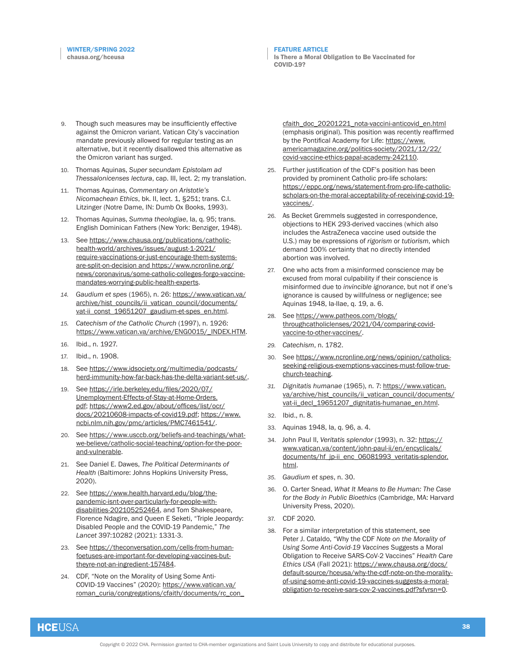#### FEATURE ARTICLE

Is There a Moral Obligation to Be Vaccinated for COVID-19?

- Though such measures may be insufficiently effective against the Omicron variant. Vatican City's vaccination mandate previously allowed for regular testing as an alternative, but it recently disallowed this alternative as the Omicron variant has surged.
- 10. Thomas Aquinas, *Super secundam Epistolam ad Thessalonicenses lectura*, cap. III, lect. 2; my translation.
- 11. Thomas Aquinas, *Commentary on Aristotle's Nicomachean Ethics*, bk. II, lect. 1, §251; trans. C.I. Litzinger (Notre Dame, IN: Dumb Ox Books, 1993).
- 12. Thomas Aquinas, *Summa theologiae*, Ia, q. 95; trans. English Dominican Fathers (New York: Benziger, 1948).
- 13. See https://www.chausa.org/publications/catholichealth-world/archives/issues/august-1-2021/ require-vaccinations-or-just-encourage-them-systemsare-split-on-decision and https://www.ncronline.org/ news/coronavirus/some-catholic-colleges-forgo-vaccinemandates-worrying-public-health-experts.
- *14. Gaudium et spes* (1965), n. 26: https://www.vatican.va/ archive/hist\_councils/ii\_vatican\_council/documents/ vat-ii\_const\_19651207\_gaudium-et-spes\_en.html.
- *15. Catechism of the Catholic Church* (1997), n. 1926: https://www.vatican.va/archive/ENG0015/\_INDEX.HTM.
- 16. Ibid., n. 1927.
- 17. Ibid., n. 1908.
- 18. See https://www.idsociety.org/multimedia/podcasts/ herd-immunity-how-far-back-has-the-delta-variant-set-us/.
- 19. See https://irle.berkeley.edu/files/2020/07/ Unemployment-Effects-of-Stay-at-Home-Orders. pdf; https://www2.ed.gov/about/offices/list/ocr/ docs/20210608-impacts-of-covid19.pdf; https://www. ncbi.nlm.nih.gov/pmc/articles/PMC7461541/.
- 20. See https://www.usccb.org/beliefs-and-teachings/whatwe-believe/catholic-social-teaching/option-for-the-poorand-vulnerable.
- 21. See Daniel E. Dawes, *The Political Determinants of Health* (Baltimore: Johns Hopkins University Press, 2020).
- 22. See https://www.health.harvard.edu/blog/thepandemic-isnt-over-particularly-for-people-withdisabilities-202105252464, and Tom Shakespeare, Florence Ndagire, and Queen E Seketi, "Triple Jeopardy: Disabled People and the COVID-19 Pandemic," *The Lancet* 397:10282 (2021): 1331-3.
- 23. See https://theconversation.com/cells-from-humanfoetuses-are-important-for-developing-vaccines-buttheyre-not-an-ingredient-157484.
- 24. CDF, "Note on the Morality of Using Some Anti-COVID-19 Vaccines" (2020): https://www.vatican.va/ roman\_curia/congregations/cfaith/documents/rc\_con\_

cfaith\_doc\_20201221\_nota-vaccini-anticovid\_en.html (emphasis original). This position was recently reaffirmed by the Pontifical Academy for Life: https://www. americamagazine.org/politics-society/2021/12/22/ covid-vaccine-ethics-papal-academy-242110.

- 25. Further justification of the CDF's position has been provided by prominent Catholic pro-life scholars: https://eppc.org/news/statement-from-pro-life-catholicscholars-on-the-moral-acceptability-of-receiving-covid-19 vaccines/.
- 26. As Becket Gremmels suggested in correspondence, objections to HEK 293-derived vaccines (which also includes the AstraZeneca vaccine used outside the U.S.) may be expressions of *rigorism* or *tutiorism*, which demand 100% certainty that no directly intended abortion was involved.
- 27. One who acts from a misinformed conscience may be excused from moral culpability if their conscience is misinformed due to *invincible ignorance*, but not if one's ignorance is caused by willfulness or negligence; see Aquinas 1948, Ia-IIae, q. 19, a. 6.
- 28. See https://www.patheos.com/blogs/ throughcatholiclenses/2021/04/comparing-covidvaccine-to-other-vaccines/.
- *29. Catechism*, n. 1782.
- 30. See https://www.ncronline.org/news/opinion/catholicsseeking-religious-exemptions-vaccines-must-follow-truechurch-teaching.
- *31. Dignitatis humanae* (1965), n. 7: https://www.vatican. va/archive/hist\_councils/ii\_vatican\_council/documents/ vat-ii\_decl\_19651207\_dignitatis-humanae\_en.html.
- 32. Ibid., n. 8.
- 33. Aquinas 1948, Ia, q. 96, a. 4.
- 34. John Paul II, *Veritatis splendor* (1993), n. 32: https:// www.vatican.va/content/john-paul-ii/en/encyclicals/ documents/hf\_jp-ii\_enc\_06081993\_veritatis-splendor. html.
- *35. Gaudium et spes*, n. 30.
- 36. O. Carter Snead, *What It Means to Be Human: The Case for the Body in Public Bioethics* (Cambridge, MA: Harvard University Press, 2020).
- 37. CDF 2020.
- 38. For a similar interpretation of this statement, see Peter J. Cataldo, "Why the CDF *Note on the Morality of Using Some Anti-Covid-19 Vaccines* Suggests a Moral Obligation to Receive SARS-CoV-2 Vaccines" *Health Care Ethics USA* (Fall 2021): https://www.chausa.org/docs/ default-source/hceusa/why-the-cdf-note-on-the-moralityof-using-some-anti-covid-19-vaccines-suggests-a-moralobligation-to-receive-sars-cov-2-vaccines.pdf?sfvrsn=0.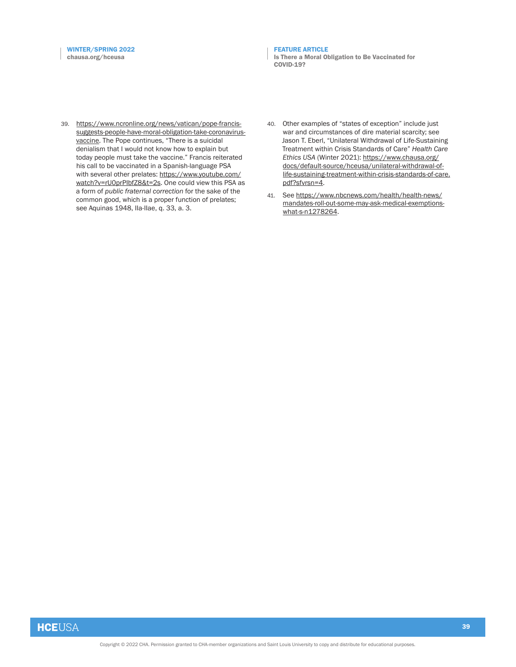#### FEATURE ARTICLE

Is There a Moral Obligation to Be Vaccinated for COVID-19?

- 39. https://www.ncronline.org/news/vatican/pope-francissuggests-people-have-moral-obligation-take-coronavirusvaccine. The Pope continues, "There is a suicidal denialism that I would not know how to explain but today people must take the vaccine." Francis reiterated his call to be vaccinated in a Spanish-language PSA with several other prelates: https://www.youtube.com/ watch?v=rU0prPIbfZ8&t=2s. One could view this PSA as a form of *public fraternal correction* for the sake of the common good, which is a proper function of prelates; see Aquinas 1948, IIa-IIae, q. 33, a. 3.
- 40. Other examples of "states of exception" include just war and circumstances of dire material scarcity; see Jason T. Eberl, "Unilateral Withdrawal of Life-Sustaining Treatment within Crisis Standards of Care" *Health Care Ethics USA* (Winter 2021): https://www.chausa.org/ docs/default-source/hceusa/unilateral-withdrawal-oflife-sustaining-treatment-within-crisis-standards-of-care. pdf?sfvrsn=4.
- 41. See https://www.nbcnews.com/health/health-news/ mandates-roll-out-some-may-ask-medical-exemptionswhat-s-n1278264.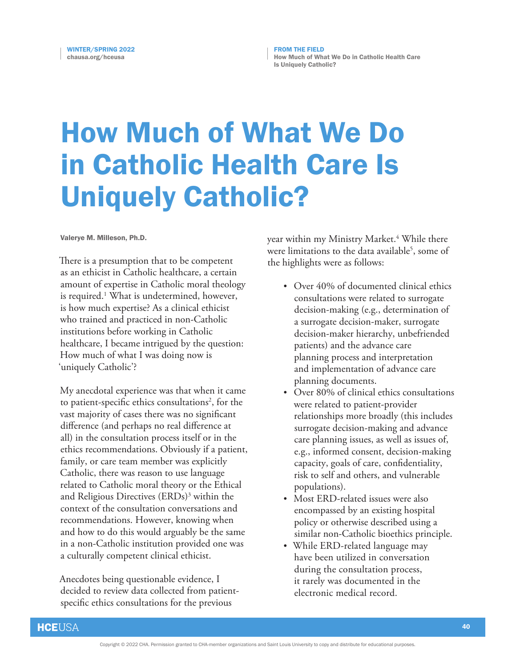FROM THE FIELD How Much of What We Do in Catholic Health Care Is Uniquely Catholic?

# How Much of What We Do in Catholic Health Care Is Uniquely Catholic?

Valerye M. Milleson, Ph.D.

There is a presumption that to be competent as an ethicist in Catholic healthcare, a certain amount of expertise in Catholic moral theology is required.<sup>1</sup> What is undetermined, however, is how much expertise? As a clinical ethicist who trained and practiced in non-Catholic institutions before working in Catholic healthcare, I became intrigued by the question: How much of what I was doing now is 'uniquely Catholic'?

My anecdotal experience was that when it came to patient-specific ethics consultations<sup>2</sup>, for the vast majority of cases there was no significant difference (and perhaps no real difference at all) in the consultation process itself or in the ethics recommendations. Obviously if a patient, family, or care team member was explicitly Catholic, there was reason to use language related to Catholic moral theory or the Ethical and Religious Directives (ERDs)<sup>3</sup> within the context of the consultation conversations and recommendations. However, knowing when and how to do this would arguably be the same in a non-Catholic institution provided one was a culturally competent clinical ethicist.

Anecdotes being questionable evidence, I decided to review data collected from patientspecific ethics consultations for the previous

year within my Ministry Market.<sup>4</sup> While there were limitations to the data available<sup>5</sup>, some of the highlights were as follows:

- Over 40% of documented clinical ethics consultations were related to surrogate decision-making (e.g., determination of a surrogate decision-maker, surrogate decision-maker hierarchy, unbefriended patients) and the advance care planning process and interpretation and implementation of advance care planning documents.
- Over 80% of clinical ethics consultations were related to patient-provider relationships more broadly (this includes surrogate decision-making and advance care planning issues, as well as issues of, e.g., informed consent, decision-making capacity, goals of care, confidentiality, risk to self and others, and vulnerable populations).
- Most ERD-related issues were also encompassed by an existing hospital policy or otherwise described using a similar non-Catholic bioethics principle.
- While ERD-related language may have been utilized in conversation during the consultation process, it rarely was documented in the electronic medical record.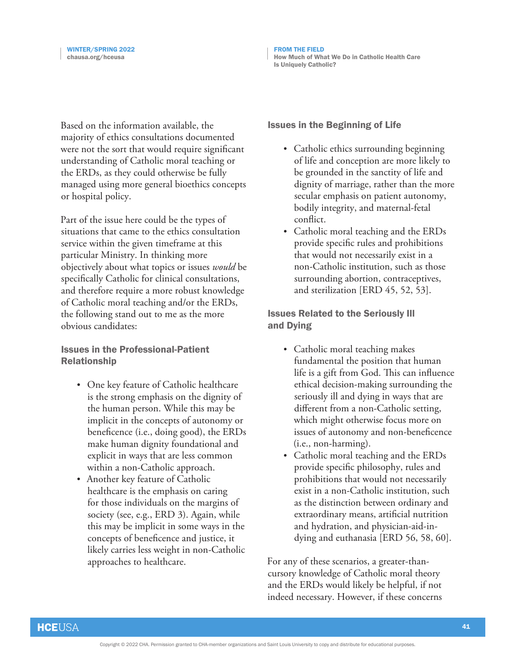FROM THE FIELD How Much of What We Do in Catholic Health Care Is Uniquely Catholic?

Based on the information available, the majority of ethics consultations documented were not the sort that would require significant understanding of Catholic moral teaching or the ERDs, as they could otherwise be fully managed using more general bioethics concepts or hospital policy.

Part of the issue here could be the types of situations that came to the ethics consultation service within the given timeframe at this particular Ministry. In thinking more objectively about what topics or issues *would* be specifically Catholic for clinical consultations, and therefore require a more robust knowledge of Catholic moral teaching and/or the ERDs, the following stand out to me as the more obvious candidates:

# Issues in the Professional-Patient Relationship

- One key feature of Catholic healthcare is the strong emphasis on the dignity of the human person. While this may be implicit in the concepts of autonomy or beneficence (i.e., doing good), the ERDs make human dignity foundational and explicit in ways that are less common within a non-Catholic approach.
- Another key feature of Catholic healthcare is the emphasis on caring for those individuals on the margins of society (see, e.g., ERD 3). Again, while this may be implicit in some ways in the concepts of beneficence and justice, it likely carries less weight in non-Catholic approaches to healthcare.

Issues in the Beginning of Life

- Catholic ethics surrounding beginning of life and conception are more likely to be grounded in the sanctity of life and dignity of marriage, rather than the more secular emphasis on patient autonomy, bodily integrity, and maternal-fetal conflict.
- Catholic moral teaching and the ERDs provide specific rules and prohibitions that would not necessarily exist in a non-Catholic institution, such as those surrounding abortion, contraceptives, and sterilization [ERD 45, 52, 53].

# Issues Related to the Seriously Ill and Dying

- Catholic moral teaching makes fundamental the position that human life is a gift from God. This can influence ethical decision-making surrounding the seriously ill and dying in ways that are different from a non-Catholic setting, which might otherwise focus more on issues of autonomy and non-beneficence (i.e., non-harming).
- Catholic moral teaching and the ERDs provide specific philosophy, rules and prohibitions that would not necessarily exist in a non-Catholic institution, such as the distinction between ordinary and extraordinary means, artificial nutrition and hydration, and physician-aid-indying and euthanasia [ERD 56, 58, 60].

For any of these scenarios, a greater-thancursory knowledge of Catholic moral theory and the ERDs would likely be helpful, if not indeed necessary. However, if these concerns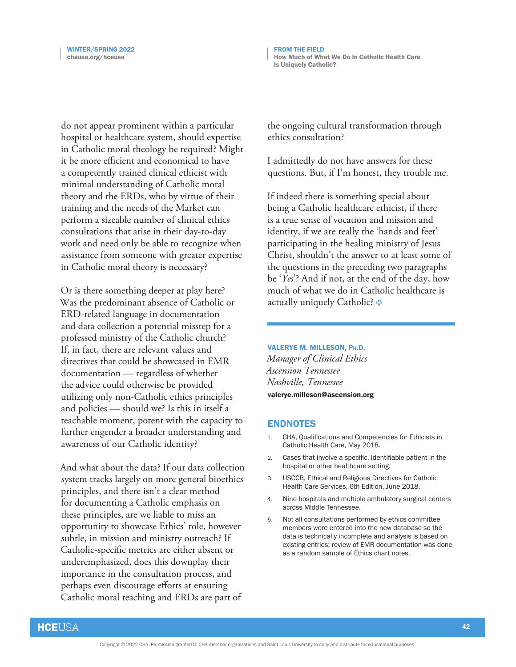do not appear prominent within a particular hospital or healthcare system, should expertise in Catholic moral theology be required? Might it be more efficient and economical to have a competently trained clinical ethicist with minimal understanding of Catholic moral theory and the ERDs, who by virtue of their training and the needs of the Market can perform a sizeable number of clinical ethics consultations that arise in their day-to-day work and need only be able to recognize when assistance from someone with greater expertise in Catholic moral theory is necessary?

Or is there something deeper at play here? Was the predominant absence of Catholic or ERD-related language in documentation and data collection a potential misstep for a professed ministry of the Catholic church? If, in fact, there are relevant values and directives that could be showcased in EMR documentation — regardless of whether the advice could otherwise be provided utilizing only non-Catholic ethics principles and policies — should we? Is this in itself a teachable moment, potent with the capacity to further engender a broader understanding and awareness of our Catholic identity?

And what about the data? If our data collection system tracks largely on more general bioethics principles, and there isn't a clear method for documenting a Catholic emphasis on these principles, are we liable to miss an opportunity to showcase Ethics' role, however subtle, in mission and ministry outreach? If Catholic-specific metrics are either absent or underemphasized, does this downplay their importance in the consultation process, and perhaps even discourage efforts at ensuring Catholic moral teaching and ERDs are part of

FROM THE FIELD How Much of What We Do in Catholic Health Care Is Uniquely Catholic?

the ongoing cultural transformation through ethics consultation?

I admittedly do not have answers for these questions. But, if I'm honest, they trouble me.

If indeed there is something special about being a Catholic healthcare ethicist, if there is a true sense of vocation and mission and identity, if we are really the 'hands and feet' participating in the healing ministry of Jesus Christ, shouldn't the answer to at least some of the questions in the preceding two paragraphs be '*Yes*'? And if not, at the end of the day, how much of what we do in Catholic healthcare is actually uniquely Catholic?

#### VALERYE M. MILLESON, Ph.D.

*Manager of Clinical Ethics Ascension Tennessee Nashville, Tennessee* valerye.milleson@ascension.org

#### ENDNOTES

- 1. CHA, Qualifications and Competencies for Ethicists in Catholic Health Care, May 2018.
- 2. Cases that involve a specific, identifiable patient in the hospital or other healthcare setting.
- 3. USCCB, Ethical and Religious Directives for Catholic Health Care Services, 6th Edition, June 2018.
- 4. Nine hospitals and multiple ambulatory surgical centers across Middle Tennessee.
- 5. Not all consultations performed by ethics committee members were entered into the new database so the data is technically incomplete and analysis is based on existing entries; review of EMR documentation was done as a random sample of Ethics chart notes.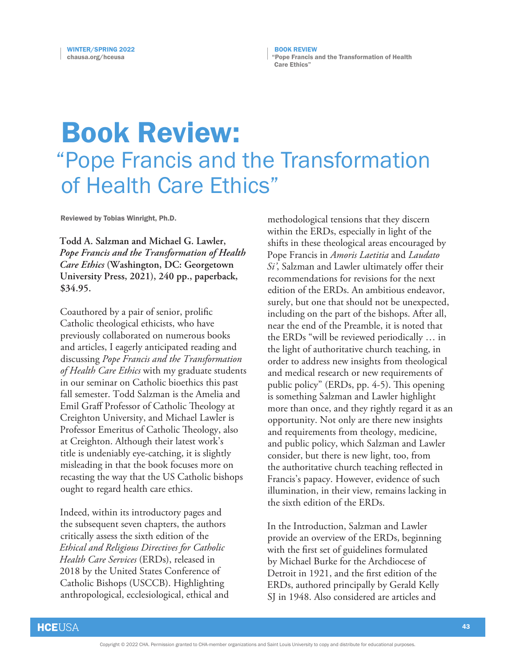BOOK REVIEW "Pope Francis and the Transformation of Health Care Ethics"

# Book Review: "Pope Francis and the Transformation of Health Care Ethics"

Reviewed by Tobias Winright, Ph.D.

**Todd A. Salzman and Michael G. Lawler,**  *Pope Francis and the Transformation of Health Care Ethics* **(Washington, DC: Georgetown University Press, 2021), 240 pp., paperback, \$34.95.**

Coauthored by a pair of senior, prolific Catholic theological ethicists, who have previously collaborated on numerous books and articles, I eagerly anticipated reading and discussing *Pope Francis and the Transformation of Health Care Ethics* with my graduate students in our seminar on Catholic bioethics this past fall semester. Todd Salzman is the Amelia and Emil Graff Professor of Catholic Theology at Creighton University, and Michael Lawler is Professor Emeritus of Catholic Theology, also at Creighton. Although their latest work's title is undeniably eye-catching, it is slightly misleading in that the book focuses more on recasting the way that the US Catholic bishops ought to regard health care ethics.

Indeed, within its introductory pages and the subsequent seven chapters, the authors critically assess the sixth edition of the *Ethical and Religious Directives for Catholic Health Care Services* (ERDs), released in 2018 by the United States Conference of Catholic Bishops (USCCB). Highlighting anthropological, ecclesiological, ethical and

methodological tensions that they discern within the ERDs, especially in light of the shifts in these theological areas encouraged by Pope Francis in *Amoris Laetitia* and *Laudato Si'*, Salzman and Lawler ultimately offer their recommendations for revisions for the next edition of the ERDs. An ambitious endeavor, surely, but one that should not be unexpected, including on the part of the bishops. After all, near the end of the Preamble, it is noted that the ERDs "will be reviewed periodically … in the light of authoritative church teaching, in order to address new insights from theological and medical research or new requirements of public policy" (ERDs, pp. 4-5). This opening is something Salzman and Lawler highlight more than once, and they rightly regard it as an opportunity. Not only are there new insights and requirements from theology, medicine, and public policy, which Salzman and Lawler consider, but there is new light, too, from the authoritative church teaching reflected in Francis's papacy. However, evidence of such illumination, in their view, remains lacking in the sixth edition of the ERDs.

In the Introduction, Salzman and Lawler provide an overview of the ERDs, beginning with the first set of guidelines formulated by Michael Burke for the Archdiocese of Detroit in 1921, and the first edition of the ERDs, authored principally by Gerald Kelly SJ in 1948. Also considered are articles and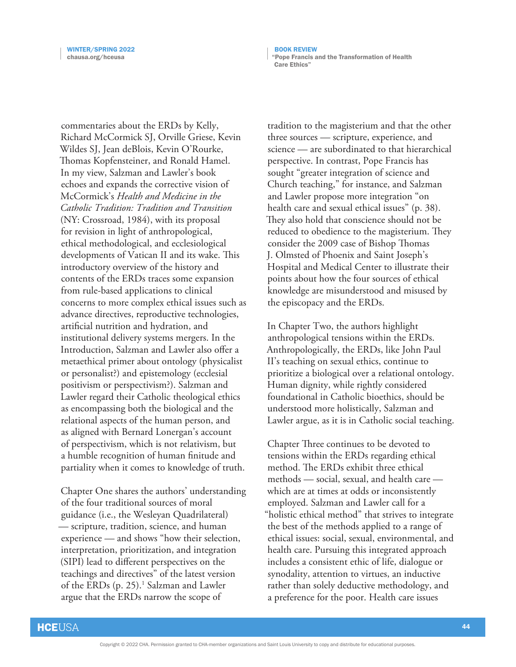commentaries about the ERDs by Kelly, Richard McCormick SJ, Orville Griese, Kevin Wildes SJ, Jean deBlois, Kevin O'Rourke, Thomas Kopfensteiner, and Ronald Hamel. In my view, Salzman and Lawler's book echoes and expands the corrective vision of McCormick's *Health and Medicine in the Catholic Tradition: Tradition and Transition* (NY: Crossroad, 1984), with its proposal for revision in light of anthropological, ethical methodological, and ecclesiological developments of Vatican II and its wake. This introductory overview of the history and contents of the ERDs traces some expansion from rule-based applications to clinical concerns to more complex ethical issues such as advance directives, reproductive technologies, artificial nutrition and hydration, and institutional delivery systems mergers. In the Introduction, Salzman and Lawler also offer a metaethical primer about ontology (physicalist or personalist?) and epistemology (ecclesial positivism or perspectivism?). Salzman and Lawler regard their Catholic theological ethics as encompassing both the biological and the relational aspects of the human person, and as aligned with Bernard Lonergan's account of perspectivism, which is not relativism, but a humble recognition of human finitude and partiality when it comes to knowledge of truth.

Chapter One shares the authors' understanding of the four traditional sources of moral guidance (i.e., the Wesleyan Quadrilateral) — scripture, tradition, science, and human experience — and shows "how their selection, interpretation, prioritization, and integration (SIPI) lead to different perspectives on the teachings and directives" of the latest version of the ERDs (p. 25).<sup>1</sup> Salzman and Lawler argue that the ERDs narrow the scope of

BOOK REVIEW "Pope Francis and the Transformation of Health Care Ethics"

tradition to the magisterium and that the other three sources — scripture, experience, and science — are subordinated to that hierarchical perspective. In contrast, Pope Francis has sought "greater integration of science and Church teaching," for instance, and Salzman and Lawler propose more integration "on health care and sexual ethical issues" (p. 38). They also hold that conscience should not be reduced to obedience to the magisterium. They consider the 2009 case of Bishop Thomas J. Olmsted of Phoenix and Saint Joseph's Hospital and Medical Center to illustrate their points about how the four sources of ethical knowledge are misunderstood and misused by the episcopacy and the ERDs.

In Chapter Two, the authors highlight anthropological tensions within the ERDs. Anthropologically, the ERDs, like John Paul II's teaching on sexual ethics, continue to prioritize a biological over a relational ontology. Human dignity, while rightly considered foundational in Catholic bioethics, should be understood more holistically, Salzman and Lawler argue, as it is in Catholic social teaching.

Chapter Three continues to be devoted to tensions within the ERDs regarding ethical method. The ERDs exhibit three ethical methods — social, sexual, and health care which are at times at odds or inconsistently employed. Salzman and Lawler call for a "holistic ethical method" that strives to integrate the best of the methods applied to a range of ethical issues: social, sexual, environmental, and health care. Pursuing this integrated approach includes a consistent ethic of life, dialogue or synodality, attention to virtues, an inductive rather than solely deductive methodology, and a preference for the poor. Health care issues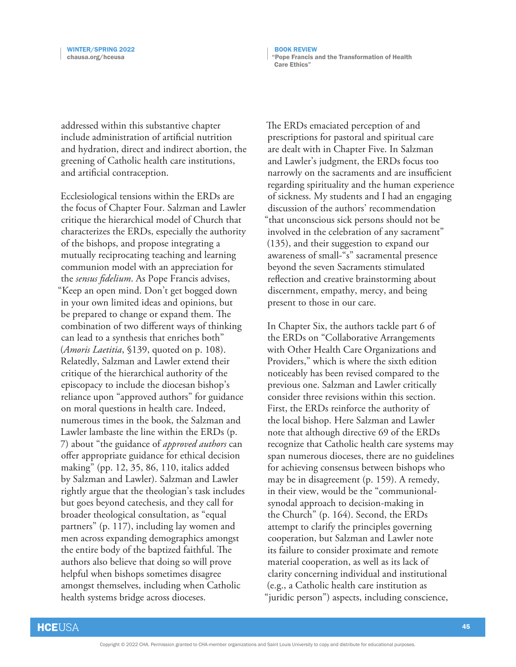addressed within this substantive chapter include administration of artificial nutrition and hydration, direct and indirect abortion, the greening of Catholic health care institutions, and artificial contraception.

Ecclesiological tensions within the ERDs are the focus of Chapter Four. Salzman and Lawler critique the hierarchical model of Church that characterizes the ERDs, especially the authority of the bishops, and propose integrating a mutually reciprocating teaching and learning communion model with an appreciation for the *sensus fidelium*. As Pope Francis advises, "Keep an open mind. Don't get bogged down in your own limited ideas and opinions, but be prepared to change or expand them. The combination of two different ways of thinking can lead to a synthesis that enriches both" (*Amoris Laetitia*, §139, quoted on p. 108). Relatedly, Salzman and Lawler extend their critique of the hierarchical authority of the episcopacy to include the diocesan bishop's reliance upon "approved authors" for guidance on moral questions in health care. Indeed, numerous times in the book, the Salzman and Lawler lambaste the line within the ERDs (p. 7) about "the guidance of *approved authors* can offer appropriate guidance for ethical decision making" (pp. 12, 35, 86, 110, italics added by Salzman and Lawler). Salzman and Lawler rightly argue that the theologian's task includes but goes beyond catechesis, and they call for broader theological consultation, as "equal partners" (p. 117), including lay women and men across expanding demographics amongst the entire body of the baptized faithful. The authors also believe that doing so will prove helpful when bishops sometimes disagree amongst themselves, including when Catholic health systems bridge across dioceses.

BOOK REVIEW "Pope Francis and the Transformation of Health Care Ethics"

The ERDs emaciated perception of and prescriptions for pastoral and spiritual care are dealt with in Chapter Five. In Salzman and Lawler's judgment, the ERDs focus too narrowly on the sacraments and are insufficient regarding spirituality and the human experience of sickness. My students and I had an engaging discussion of the authors' recommendation "that unconscious sick persons should not be involved in the celebration of any sacrament" (135), and their suggestion to expand our awareness of small-"s" sacramental presence beyond the seven Sacraments stimulated reflection and creative brainstorming about discernment, empathy, mercy, and being present to those in our care.

In Chapter Six, the authors tackle part 6 of the ERDs on "Collaborative Arrangements with Other Health Care Organizations and Providers," which is where the sixth edition noticeably has been revised compared to the previous one. Salzman and Lawler critically consider three revisions within this section. First, the ERDs reinforce the authority of the local bishop. Here Salzman and Lawler note that although directive 69 of the ERDs recognize that Catholic health care systems may span numerous dioceses, there are no guidelines for achieving consensus between bishops who may be in disagreement (p. 159). A remedy, in their view, would be the "communionalsynodal approach to decision-making in the Church" (p. 164). Second, the ERDs attempt to clarify the principles governing cooperation, but Salzman and Lawler note its failure to consider proximate and remote material cooperation, as well as its lack of clarity concerning individual and institutional (e.g., a Catholic health care institution as "juridic person") aspects, including conscience,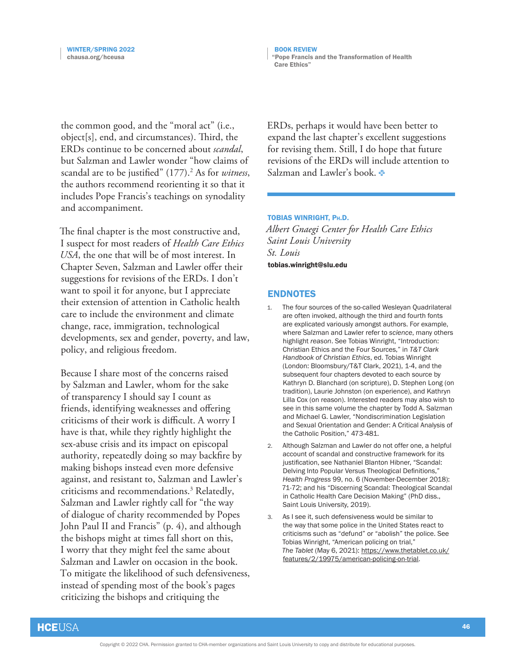BOOK REVIEW "Pope Francis and the Transformation of Health Care Ethics"

the common good, and the "moral act" (i.e., object[s], end, and circumstances). Third, the ERDs continue to be concerned about *scandal*, but Salzman and Lawler wonder "how claims of scandal are to be justified" (177).<sup>2</sup> As for *witness*, the authors recommend reorienting it so that it includes Pope Francis's teachings on synodality and accompaniment.

The final chapter is the most constructive and, I suspect for most readers of *Health Care Ethics USA*, the one that will be of most interest. In Chapter Seven, Salzman and Lawler offer their suggestions for revisions of the ERDs. I don't want to spoil it for anyone, but I appreciate their extension of attention in Catholic health care to include the environment and climate change, race, immigration, technological developments, sex and gender, poverty, and law, policy, and religious freedom.

Because I share most of the concerns raised by Salzman and Lawler, whom for the sake of transparency I should say I count as friends, identifying weaknesses and offering criticisms of their work is difficult. A worry I have is that, while they rightly highlight the sex-abuse crisis and its impact on episcopal authority, repeatedly doing so may backfire by making bishops instead even more defensive against, and resistant to, Salzman and Lawler's criticisms and recommendations.3 Relatedly, Salzman and Lawler rightly call for "the way of dialogue of charity recommended by Popes John Paul II and Francis" (p. 4), and although the bishops might at times fall short on this, I worry that they might feel the same about Salzman and Lawler on occasion in the book. To mitigate the likelihood of such defensiveness, instead of spending most of the book's pages criticizing the bishops and critiquing the

ERDs, perhaps it would have been better to expand the last chapter's excellent suggestions for revising them. Still, I do hope that future revisions of the ERDs will include attention to Salzman and Lawler's book.

#### TOBIAS WINRIGHT, Ph.D.

*Albert Gnaegi Center for Health Care Ethics Saint Louis University St. Louis* tobias.winright@slu.edu

#### ENDNOTES

- The four sources of the so-called Wesleyan Quadrilateral are often invoked, although the third and fourth fonts are explicated variously amongst authors. For example, where Salzman and Lawler refer to *science*, many others highlight *reason*. See Tobias Winright, "Introduction: Christian Ethics and the Four Sources," in *T&T Clark Handbook of Christian Ethics*, ed. Tobias Winright (London: Bloomsbury/T&T Clark, 2021), 1-4, and the subsequent four chapters devoted to each source by Kathryn D. Blanchard (on scripture), D. Stephen Long (on tradition), Laurie Johnston (on experience), and Kathryn Lilla Cox (on reason). Interested readers may also wish to see in this same volume the chapter by Todd A. Salzman and Michael G. Lawler, "Nondiscrimination Legislation and Sexual Orientation and Gender: A Critical Analysis of the Catholic Position," 473-481.
- 2. Although Salzman and Lawler do not offer one, a helpful account of scandal and constructive framework for its justification, see Nathaniel Blanton Hibner, "Scandal: Delving Into Popular Versus Theological Definitions,' *Health Progress* 99, no. 6 (November-December 2018): 71-72; and his "Discerning Scandal: Theological Scandal in Catholic Health Care Decision Making" (PhD diss., Saint Louis University, 2019).
- 3. As I see it, such defensiveness would be similar to the way that some police in the United States react to criticisms such as "defund" or "abolish" the police. See Tobias Winright, "American policing on trial," *The Tablet* (May 6, 2021): https://www.thetablet.co.uk/ features/2/19975/american-policing-on-trial.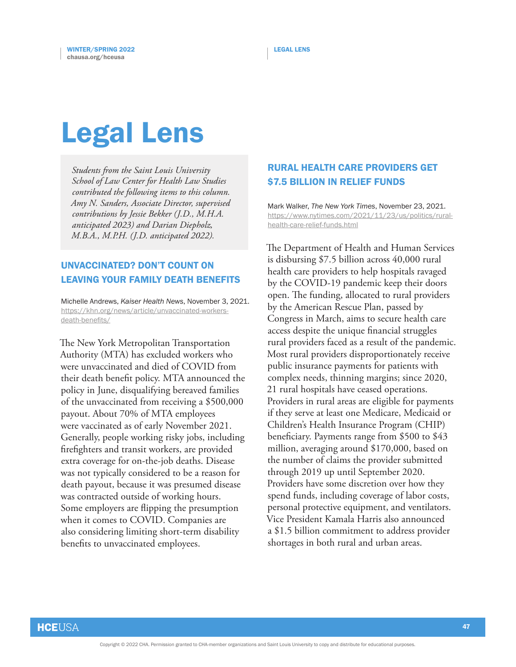# Legal Lens

*Students from the Saint Louis University School of Law Center for Health Law Studies contributed the following items to this column. Amy N. Sanders, Associate Director, supervised contributions by Jessie Bekker (J.D., M.H.A. anticipated 2023) and Darian Diepholz, M.B.A., M.P.H. (J.D. anticipated 2022).* 

# UNVACCINATED? DON'T COUNT ON LEAVING YOUR FAMILY DEATH BENEFITS

Michelle Andrews, *Kaiser Health News*, November 3, 2021. https://khn.org/news/article/unvaccinated-workersdeath-benefits/

The New York Metropolitan Transportation Authority (MTA) has excluded workers who were unvaccinated and died of COVID from their death benefit policy. MTA announced the policy in June, disqualifying bereaved families of the unvaccinated from receiving a \$500,000 payout. About 70% of MTA employees were vaccinated as of early November 2021. Generally, people working risky jobs, including firefighters and transit workers, are provided extra coverage for on-the-job deaths. Disease was not typically considered to be a reason for death payout, because it was presumed disease was contracted outside of working hours. Some employers are flipping the presumption when it comes to COVID. Companies are also considering limiting short-term disability benefits to unvaccinated employees.

# RURAL HEALTH CARE PROVIDERS GET **\$7.5 BILLION IN RELIEF FUNDS**

Mark Walker, *The New York Times*, November 23, 2021. https://www.nytimes.com/2021/11/23/us/politics/ruralhealth-care-relief-funds.html

The Department of Health and Human Services is disbursing \$7.5 billion across 40,000 rural health care providers to help hospitals ravaged by the COVID-19 pandemic keep their doors open. The funding, allocated to rural providers by the American Rescue Plan, passed by Congress in March, aims to secure health care access despite the unique financial struggles rural providers faced as a result of the pandemic. Most rural providers disproportionately receive public insurance payments for patients with complex needs, thinning margins; since 2020, 21 rural hospitals have ceased operations. Providers in rural areas are eligible for payments if they serve at least one Medicare, Medicaid or Children's Health Insurance Program (CHIP) beneficiary. Payments range from \$500 to \$43 million, averaging around \$170,000, based on the number of claims the provider submitted through 2019 up until September 2020. Providers have some discretion over how they spend funds, including coverage of labor costs, personal protective equipment, and ventilators. Vice President Kamala Harris also announced a \$1.5 billion commitment to address provider shortages in both rural and urban areas.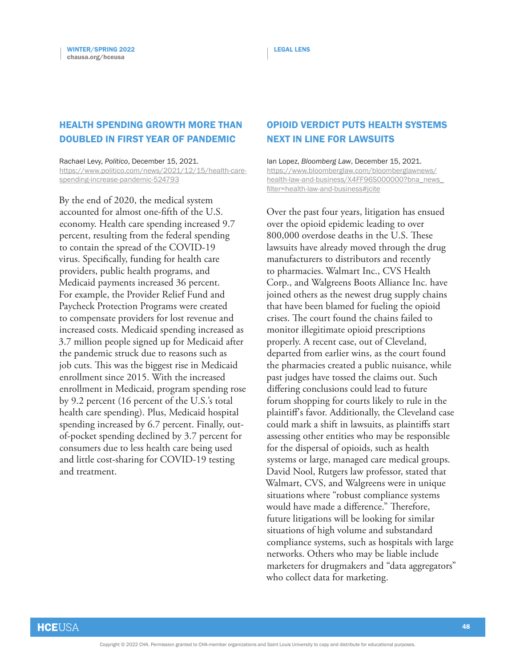# HEALTH SPENDING GROWTH MORE THAN DOUBLED IN FIRST YEAR OF PANDEMIC

Rachael Levy, *Politico*, December 15, 2021. https://www.politico.com/news/2021/12/15/health-carespending-increase-pandemic-524793

By the end of 2020, the medical system accounted for almost one-fifth of the U.S. economy. Health care spending increased 9.7 percent, resulting from the federal spending to contain the spread of the COVID-19 virus. Specifically, funding for health care providers, public health programs, and Medicaid payments increased 36 percent. For example, the Provider Relief Fund and Paycheck Protection Programs were created to compensate providers for lost revenue and increased costs. Medicaid spending increased as 3.7 million people signed up for Medicaid after the pandemic struck due to reasons such as job cuts. This was the biggest rise in Medicaid enrollment since 2015. With the increased enrollment in Medicaid, program spending rose by 9.2 percent (16 percent of the U.S.'s total health care spending). Plus, Medicaid hospital spending increased by 6.7 percent. Finally, outof-pocket spending declined by 3.7 percent for consumers due to less health care being used and little cost-sharing for COVID-19 testing and treatment.

# OPIOID VERDICT PUTS HEALTH SYSTEMS NEXT IN LINE FOR LAWSUITS

Ian Lopez, *Bloomberg Law*, December 15, 2021. https://www.bloomberglaw.com/bloomberglawnews/ health-law-and-business/X4FF96S000000?bna\_news\_ filter=health-law-and-business#jcite

Over the past four years, litigation has ensued over the opioid epidemic leading to over 800,000 overdose deaths in the U.S. These lawsuits have already moved through the drug manufacturers to distributors and recently to pharmacies. Walmart Inc., CVS Health Corp., and Walgreens Boots Alliance Inc. have joined others as the newest drug supply chains that have been blamed for fueling the opioid crises. The court found the chains failed to monitor illegitimate opioid prescriptions properly. A recent case, out of Cleveland, departed from earlier wins, as the court found the pharmacies created a public nuisance, while past judges have tossed the claims out. Such differing conclusions could lead to future forum shopping for courts likely to rule in the plaintiff's favor. Additionally, the Cleveland case could mark a shift in lawsuits, as plaintiffs start assessing other entities who may be responsible for the dispersal of opioids, such as health systems or large, managed care medical groups. David Nool, Rutgers law professor, stated that Walmart, CVS, and Walgreens were in unique situations where "robust compliance systems would have made a difference." Therefore, future litigations will be looking for similar situations of high volume and substandard compliance systems, such as hospitals with large networks. Others who may be liable include marketers for drugmakers and "data aggregators" who collect data for marketing.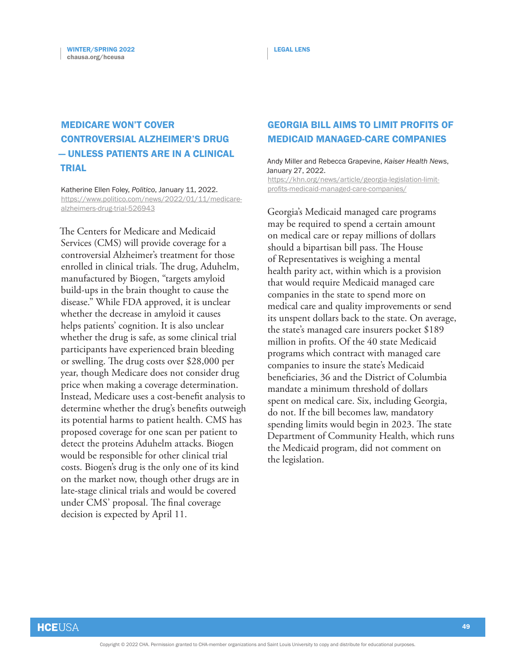# MEDICARE WON'T COVER CONTROVERSIAL ALZHEIMER'S DRUG — UNLESS PATIENTS ARE IN A CLINICAL TRIAL

Katherine Ellen Foley, *Politico*, January 11, 2022. https://www.politico.com/news/2022/01/11/medicarealzheimers-drug-trial-526943

The Centers for Medicare and Medicaid Services (CMS) will provide coverage for a controversial Alzheimer's treatment for those enrolled in clinical trials. The drug, Aduhelm, manufactured by Biogen, "targets amyloid build-ups in the brain thought to cause the disease." While FDA approved, it is unclear whether the decrease in amyloid it causes helps patients' cognition. It is also unclear whether the drug is safe, as some clinical trial participants have experienced brain bleeding or swelling. The drug costs over \$28,000 per year, though Medicare does not consider drug price when making a coverage determination. Instead, Medicare uses a cost-benefit analysis to determine whether the drug's benefits outweigh its potential harms to patient health. CMS has proposed coverage for one scan per patient to detect the proteins Aduhelm attacks. Biogen would be responsible for other clinical trial costs. Biogen's drug is the only one of its kind on the market now, though other drugs are in late-stage clinical trials and would be covered under CMS' proposal. The final coverage decision is expected by April 11.

# GEORGIA BILL AIMS TO LIMIT PROFITS OF MEDICAID MANAGED-CARE COMPANIES

Andy Miller and Rebecca Grapevine, *Kaiser Health News*, January 27, 2022.

https://khn.org/news/article/georgia-legislation-limitprofits-medicaid-managed-care-companies/

Georgia's Medicaid managed care programs may be required to spend a certain amount on medical care or repay millions of dollars should a bipartisan bill pass. The House of Representatives is weighing a mental health parity act, within which is a provision that would require Medicaid managed care companies in the state to spend more on medical care and quality improvements or send its unspent dollars back to the state. On average, the state's managed care insurers pocket \$189 million in profits. Of the 40 state Medicaid programs which contract with managed care companies to insure the state's Medicaid beneficiaries, 36 and the District of Columbia mandate a minimum threshold of dollars spent on medical care. Six, including Georgia, do not. If the bill becomes law, mandatory spending limits would begin in 2023. The state Department of Community Health, which runs the Medicaid program, did not comment on the legislation.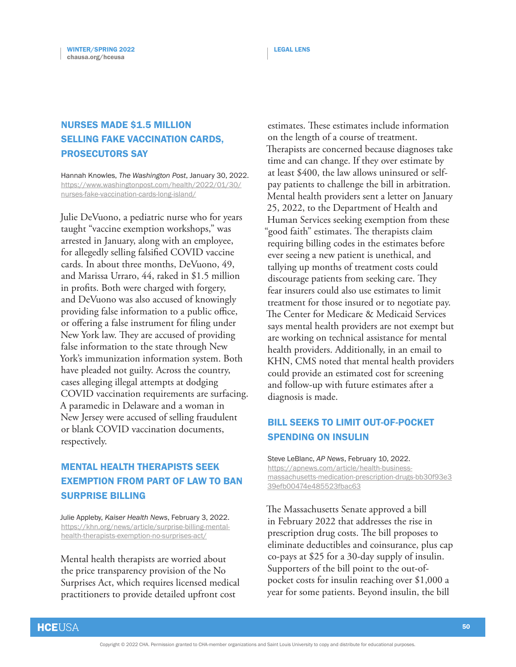# NURSES MADE \$1.5 MILLION SELLING FAKE VACCINATION CARDS, PROSECUTORS SAY

Hannah Knowles, *The Washington Post*, January 30, 2022. https://www.washingtonpost.com/health/2022/01/30/ nurses-fake-vaccination-cards-long-island/

Julie DeVuono, a pediatric nurse who for years taught "vaccine exemption workshops," was arrested in January, along with an employee, for allegedly selling falsified COVID vaccine cards. In about three months, DeVuono, 49, and Marissa Urraro, 44, raked in \$1.5 million in profits. Both were charged with forgery, and DeVuono was also accused of knowingly providing false information to a public office, or offering a false instrument for filing under New York law. They are accused of providing false information to the state through New York's immunization information system. Both have pleaded not guilty. Across the country, cases alleging illegal attempts at dodging COVID vaccination requirements are surfacing. A paramedic in Delaware and a woman in New Jersey were accused of selling fraudulent or blank COVID vaccination documents, respectively.

# MENTAL HEALTH THERAPISTS SEEK EXEMPTION FROM PART OF LAW TO BAN SURPRISE BILLING

Julie Appleby, *Kaiser Health News*, February 3, 2022. https://khn.org/news/article/surprise-billing-mentalhealth-therapists-exemption-no-surprises-act/

Mental health therapists are worried about the price transparency provision of the No Surprises Act, which requires licensed medical practitioners to provide detailed upfront cost

estimates. These estimates include information on the length of a course of treatment. Therapists are concerned because diagnoses take time and can change. If they over estimate by at least \$400, the law allows uninsured or selfpay patients to challenge the bill in arbitration. Mental health providers sent a letter on January 25, 2022, to the Department of Health and Human Services seeking exemption from these "good faith" estimates. The therapists claim requiring billing codes in the estimates before ever seeing a new patient is unethical, and tallying up months of treatment costs could discourage patients from seeking care. They fear insurers could also use estimates to limit treatment for those insured or to negotiate pay. The Center for Medicare & Medicaid Services says mental health providers are not exempt but are working on technical assistance for mental health providers. Additionally, in an email to KHN, CMS noted that mental health providers could provide an estimated cost for screening and follow-up with future estimates after a diagnosis is made.

# BILL SEEKS TO LIMIT OUT-OF-POCKET SPENDING ON INSULIN

Steve LeBlanc, *AP News*, February 10, 2022.

https://apnews.com/article/health-businessmassachusetts-medication-prescription-drugs-bb30f93e3 39efb00474e485523fbac63

The Massachusetts Senate approved a bill in February 2022 that addresses the rise in prescription drug costs. The bill proposes to eliminate deductibles and coinsurance, plus cap co-pays at \$25 for a 30-day supply of insulin. Supporters of the bill point to the out-ofpocket costs for insulin reaching over \$1,000 a year for some patients. Beyond insulin, the bill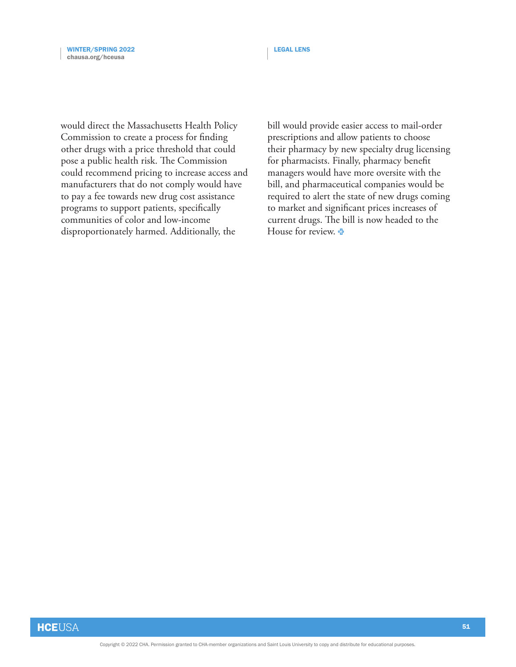#### LEGAL LENS

would direct the Massachusetts Health Policy Commission to create a process for finding other drugs with a price threshold that could pose a public health risk. The Commission could recommend pricing to increase access and manufacturers that do not comply would have to pay a fee towards new drug cost assistance programs to support patients, specifically communities of color and low-income disproportionately harmed. Additionally, the

bill would provide easier access to mail-order prescriptions and allow patients to choose their pharmacy by new specialty drug licensing for pharmacists. Finally, pharmacy benefit managers would have more oversite with the bill, and pharmaceutical companies would be required to alert the state of new drugs coming to market and significant prices increases of current drugs. The bill is now headed to the House for review.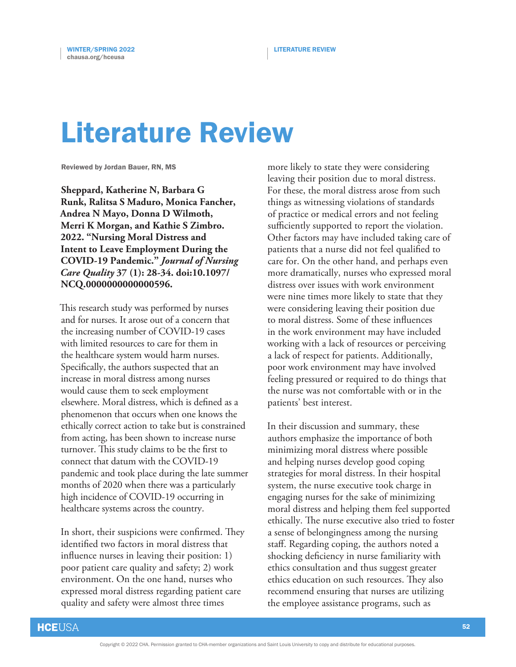# Literature Review

Reviewed by Jordan Bauer, RN, MS

**Sheppard, Katherine N, Barbara G Runk, Ralitsa S Maduro, Monica Fancher, Andrea N Mayo, Donna D Wilmoth, Merri K Morgan, and Kathie S Zimbro. 2022. "Nursing Moral Distress and Intent to Leave Employment During the COVID-19 Pandemic."** *Journal of Nursing Care Quality* **37 (1): 28-34. doi:10.1097/ NCQ.0000000000000596.**

This research study was performed by nurses and for nurses. It arose out of a concern that the increasing number of COVID-19 cases with limited resources to care for them in the healthcare system would harm nurses. Specifically, the authors suspected that an increase in moral distress among nurses would cause them to seek employment elsewhere. Moral distress, which is defined as a phenomenon that occurs when one knows the ethically correct action to take but is constrained from acting, has been shown to increase nurse turnover. This study claims to be the first to connect that datum with the COVID-19 pandemic and took place during the late summer months of 2020 when there was a particularly high incidence of COVID-19 occurring in healthcare systems across the country.

In short, their suspicions were confirmed. They identified two factors in moral distress that influence nurses in leaving their position: 1) poor patient care quality and safety; 2) work environment. On the one hand, nurses who expressed moral distress regarding patient care quality and safety were almost three times

more likely to state they were considering leaving their position due to moral distress. For these, the moral distress arose from such things as witnessing violations of standards of practice or medical errors and not feeling sufficiently supported to report the violation. Other factors may have included taking care of patients that a nurse did not feel qualified to care for. On the other hand, and perhaps even more dramatically, nurses who expressed moral distress over issues with work environment were nine times more likely to state that they were considering leaving their position due to moral distress. Some of these influences in the work environment may have included working with a lack of resources or perceiving a lack of respect for patients. Additionally, poor work environment may have involved feeling pressured or required to do things that the nurse was not comfortable with or in the patients' best interest.

In their discussion and summary, these authors emphasize the importance of both minimizing moral distress where possible and helping nurses develop good coping strategies for moral distress. In their hospital system, the nurse executive took charge in engaging nurses for the sake of minimizing moral distress and helping them feel supported ethically. The nurse executive also tried to foster a sense of belongingness among the nursing staff. Regarding coping, the authors noted a shocking deficiency in nurse familiarity with ethics consultation and thus suggest greater ethics education on such resources. They also recommend ensuring that nurses are utilizing the employee assistance programs, such as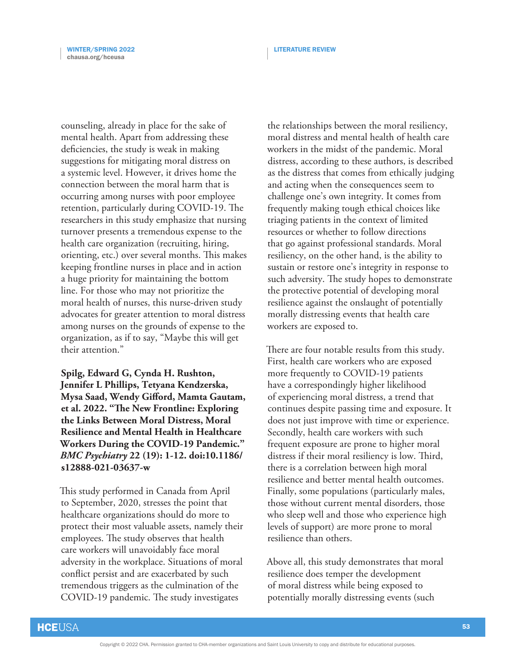counseling, already in place for the sake of mental health. Apart from addressing these deficiencies, the study is weak in making suggestions for mitigating moral distress on a systemic level. However, it drives home the connection between the moral harm that is occurring among nurses with poor employee retention, particularly during COVID-19. The researchers in this study emphasize that nursing turnover presents a tremendous expense to the health care organization (recruiting, hiring, orienting, etc.) over several months. This makes keeping frontline nurses in place and in action a huge priority for maintaining the bottom line. For those who may not prioritize the moral health of nurses, this nurse-driven study advocates for greater attention to moral distress among nurses on the grounds of expense to the organization, as if to say, "Maybe this will get their attention."

**Spilg, Edward G, Cynda H. Rushton, Jennifer L Phillips, Tetyana Kendzerska, Mysa Saad, Wendy Gifford, Mamta Gautam, et al. 2022. "The New Frontline: Exploring the Links Between Moral Distress, Moral Resilience and Mental Health in Healthcare Workers During the COVID-19 Pandemic."**  *BMC Psychiatry* **22 (19): 1-12. doi:10.1186/ s12888-021-03637-w**

This study performed in Canada from April to September, 2020, stresses the point that healthcare organizations should do more to protect their most valuable assets, namely their employees. The study observes that health care workers will unavoidably face moral adversity in the workplace. Situations of moral conflict persist and are exacerbated by such tremendous triggers as the culmination of the COVID-19 pandemic. The study investigates

the relationships between the moral resiliency, moral distress and mental health of health care workers in the midst of the pandemic. Moral distress, according to these authors, is described as the distress that comes from ethically judging and acting when the consequences seem to challenge one's own integrity. It comes from frequently making tough ethical choices like triaging patients in the context of limited resources or whether to follow directions that go against professional standards. Moral resiliency, on the other hand, is the ability to sustain or restore one's integrity in response to such adversity. The study hopes to demonstrate the protective potential of developing moral resilience against the onslaught of potentially morally distressing events that health care workers are exposed to.

There are four notable results from this study. First, health care workers who are exposed more frequently to COVID-19 patients have a correspondingly higher likelihood of experiencing moral distress, a trend that continues despite passing time and exposure. It does not just improve with time or experience. Secondly, health care workers with such frequent exposure are prone to higher moral distress if their moral resiliency is low. Third, there is a correlation between high moral resilience and better mental health outcomes. Finally, some populations (particularly males, those without current mental disorders, those who sleep well and those who experience high levels of support) are more prone to moral resilience than others.

Above all, this study demonstrates that moral resilience does temper the development of moral distress while being exposed to potentially morally distressing events (such

Copyright © 2022 CHA. Permission granted to CHA-member organizations and Saint Louis University to copy and distribute for educational purposes.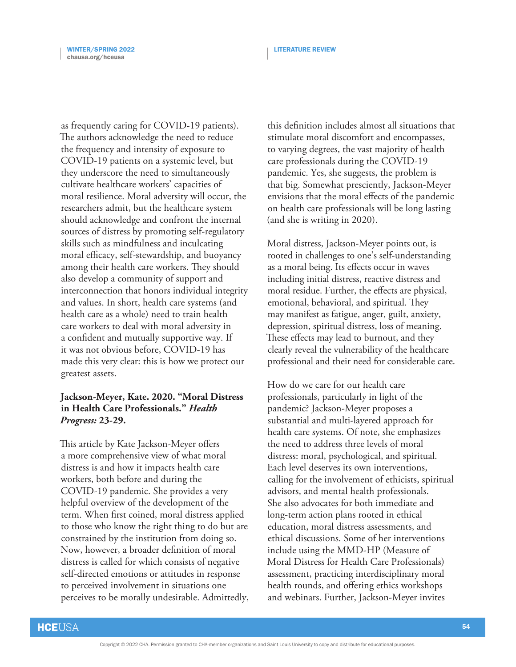as frequently caring for COVID-19 patients). The authors acknowledge the need to reduce the frequency and intensity of exposure to COVID-19 patients on a systemic level, but they underscore the need to simultaneously cultivate healthcare workers' capacities of moral resilience. Moral adversity will occur, the researchers admit, but the healthcare system should acknowledge and confront the internal sources of distress by promoting self-regulatory skills such as mindfulness and inculcating moral efficacy, self-stewardship, and buoyancy among their health care workers. They should also develop a community of support and interconnection that honors individual integrity and values. In short, health care systems (and health care as a whole) need to train health care workers to deal with moral adversity in a confident and mutually supportive way. If it was not obvious before, COVID-19 has made this very clear: this is how we protect our greatest assets.

### **Jackson-Meyer, Kate. 2020. "Moral Distress in Health Care Professionals."** *Health Progress:* **23-29.**

This article by Kate Jackson-Meyer offers a more comprehensive view of what moral distress is and how it impacts health care workers, both before and during the COVID-19 pandemic. She provides a very helpful overview of the development of the term. When first coined, moral distress applied to those who know the right thing to do but are constrained by the institution from doing so. Now, however, a broader definition of moral distress is called for which consists of negative self-directed emotions or attitudes in response to perceived involvement in situations one perceives to be morally undesirable. Admittedly,

this definition includes almost all situations that stimulate moral discomfort and encompasses, to varying degrees, the vast majority of health care professionals during the COVID-19 pandemic. Yes, she suggests, the problem is that big. Somewhat presciently, Jackson-Meyer envisions that the moral effects of the pandemic on health care professionals will be long lasting (and she is writing in 2020).

Moral distress, Jackson-Meyer points out, is rooted in challenges to one's self-understanding as a moral being. Its effects occur in waves including initial distress, reactive distress and moral residue. Further, the effects are physical, emotional, behavioral, and spiritual. They may manifest as fatigue, anger, guilt, anxiety, depression, spiritual distress, loss of meaning. These effects may lead to burnout, and they clearly reveal the vulnerability of the healthcare professional and their need for considerable care.

How do we care for our health care professionals, particularly in light of the pandemic? Jackson-Meyer proposes a substantial and multi-layered approach for health care systems. Of note, she emphasizes the need to address three levels of moral distress: moral, psychological, and spiritual. Each level deserves its own interventions, calling for the involvement of ethicists, spiritual advisors, and mental health professionals. She also advocates for both immediate and long-term action plans rooted in ethical education, moral distress assessments, and ethical discussions. Some of her interventions include using the MMD-HP (Measure of Moral Distress for Health Care Professionals) assessment, practicing interdisciplinary moral health rounds, and offering ethics workshops and webinars. Further, Jackson-Meyer invites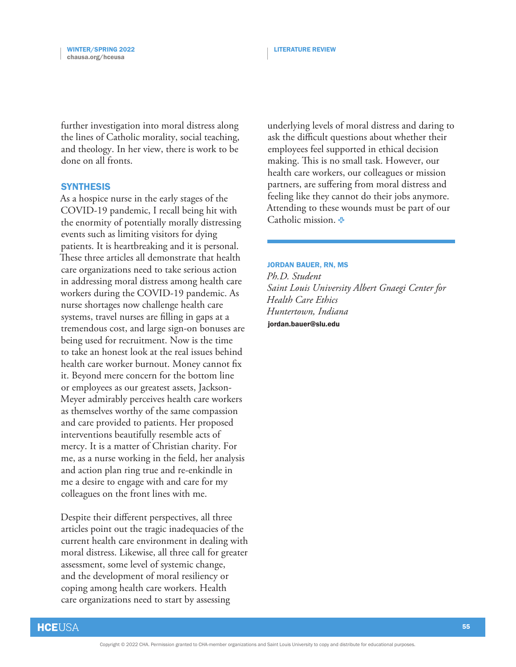further investigation into moral distress along the lines of Catholic morality, social teaching, and theology. In her view, there is work to be done on all fronts.

#### **SYNTHESIS**

As a hospice nurse in the early stages of the COVID-19 pandemic, I recall being hit with the enormity of potentially morally distressing events such as limiting visitors for dying patients. It is heartbreaking and it is personal. These three articles all demonstrate that health care organizations need to take serious action in addressing moral distress among health care workers during the COVID-19 pandemic. As nurse shortages now challenge health care systems, travel nurses are filling in gaps at a tremendous cost, and large sign-on bonuses are being used for recruitment. Now is the time to take an honest look at the real issues behind health care worker burnout. Money cannot fix it. Beyond mere concern for the bottom line or employees as our greatest assets, Jackson-Meyer admirably perceives health care workers as themselves worthy of the same compassion and care provided to patients. Her proposed interventions beautifully resemble acts of mercy. It is a matter of Christian charity. For me, as a nurse working in the field, her analysis and action plan ring true and re-enkindle in me a desire to engage with and care for my colleagues on the front lines with me.

Despite their different perspectives, all three articles point out the tragic inadequacies of the current health care environment in dealing with moral distress. Likewise, all three call for greater assessment, some level of systemic change, and the development of moral resiliency or coping among health care workers. Health care organizations need to start by assessing

underlying levels of moral distress and daring to ask the difficult questions about whether their employees feel supported in ethical decision making. This is no small task. However, our health care workers, our colleagues or mission partners, are suffering from moral distress and feeling like they cannot do their jobs anymore. Attending to these wounds must be part of our Catholic mission. <sub>\*</sub>

#### JORDAN BAUER, RN, MS

*Ph.D. Student Saint Louis University Albert Gnaegi Center for Health Care Ethics Huntertown, Indiana* jordan.bauer@slu.edu